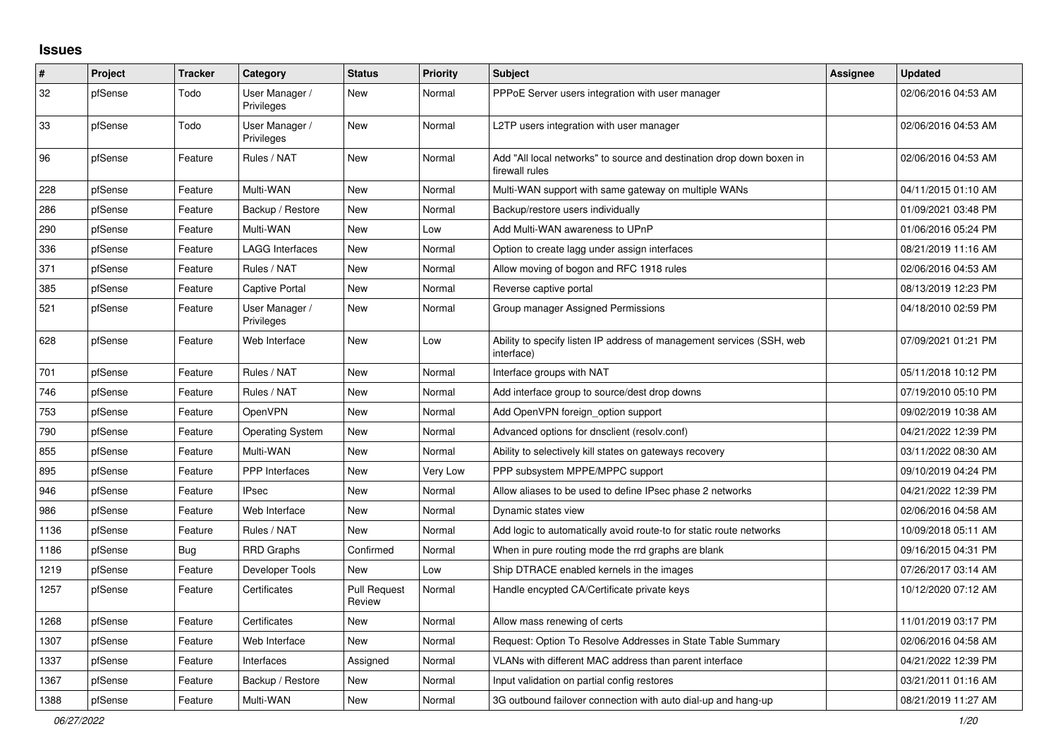## **Issues**

| #    | <b>Project</b> | <b>Tracker</b> | Category                     | <b>Status</b>                 | <b>Priority</b> | <b>Subject</b>                                                                          | Assignee | <b>Updated</b>      |
|------|----------------|----------------|------------------------------|-------------------------------|-----------------|-----------------------------------------------------------------------------------------|----------|---------------------|
| 32   | pfSense        | Todo           | User Manager /<br>Privileges | New                           | Normal          | PPPoE Server users integration with user manager                                        |          | 02/06/2016 04:53 AM |
| 33   | pfSense        | Todo           | User Manager /<br>Privileges | New                           | Normal          | L2TP users integration with user manager                                                |          | 02/06/2016 04:53 AM |
| 96   | pfSense        | Feature        | Rules / NAT                  | New                           | Normal          | Add "All local networks" to source and destination drop down boxen in<br>firewall rules |          | 02/06/2016 04:53 AM |
| 228  | pfSense        | Feature        | Multi-WAN                    | New                           | Normal          | Multi-WAN support with same gateway on multiple WANs                                    |          | 04/11/2015 01:10 AM |
| 286  | pfSense        | Feature        | Backup / Restore             | New                           | Normal          | Backup/restore users individually                                                       |          | 01/09/2021 03:48 PM |
| 290  | pfSense        | Feature        | Multi-WAN                    | New                           | Low             | Add Multi-WAN awareness to UPnP                                                         |          | 01/06/2016 05:24 PM |
| 336  | pfSense        | Feature        | <b>LAGG Interfaces</b>       | New                           | Normal          | Option to create lagg under assign interfaces                                           |          | 08/21/2019 11:16 AM |
| 371  | pfSense        | Feature        | Rules / NAT                  | New                           | Normal          | Allow moving of bogon and RFC 1918 rules                                                |          | 02/06/2016 04:53 AM |
| 385  | pfSense        | Feature        | Captive Portal               | New                           | Normal          | Reverse captive portal                                                                  |          | 08/13/2019 12:23 PM |
| 521  | pfSense        | Feature        | User Manager /<br>Privileges | New                           | Normal          | Group manager Assigned Permissions                                                      |          | 04/18/2010 02:59 PM |
| 628  | pfSense        | Feature        | Web Interface                | New                           | Low             | Ability to specify listen IP address of management services (SSH, web<br>interface)     |          | 07/09/2021 01:21 PM |
| 701  | pfSense        | Feature        | Rules / NAT                  | New                           | Normal          | Interface groups with NAT                                                               |          | 05/11/2018 10:12 PM |
| 746  | pfSense        | Feature        | Rules / NAT                  | New                           | Normal          | Add interface group to source/dest drop downs                                           |          | 07/19/2010 05:10 PM |
| 753  | pfSense        | Feature        | OpenVPN                      | New                           | Normal          | Add OpenVPN foreign_option support                                                      |          | 09/02/2019 10:38 AM |
| 790  | pfSense        | Feature        | Operating System             | New                           | Normal          | Advanced options for dnsclient (resolv.conf)                                            |          | 04/21/2022 12:39 PM |
| 855  | pfSense        | Feature        | Multi-WAN                    | New                           | Normal          | Ability to selectively kill states on gateways recovery                                 |          | 03/11/2022 08:30 AM |
| 895  | pfSense        | Feature        | <b>PPP</b> Interfaces        | New                           | Very Low        | PPP subsystem MPPE/MPPC support                                                         |          | 09/10/2019 04:24 PM |
| 946  | pfSense        | Feature        | <b>IPsec</b>                 | New                           | Normal          | Allow aliases to be used to define IPsec phase 2 networks                               |          | 04/21/2022 12:39 PM |
| 986  | pfSense        | Feature        | Web Interface                | New                           | Normal          | Dynamic states view                                                                     |          | 02/06/2016 04:58 AM |
| 1136 | pfSense        | Feature        | Rules / NAT                  | New                           | Normal          | Add logic to automatically avoid route-to for static route networks                     |          | 10/09/2018 05:11 AM |
| 1186 | pfSense        | Bug            | <b>RRD Graphs</b>            | Confirmed                     | Normal          | When in pure routing mode the rrd graphs are blank                                      |          | 09/16/2015 04:31 PM |
| 1219 | pfSense        | Feature        | Developer Tools              | New                           | Low             | Ship DTRACE enabled kernels in the images                                               |          | 07/26/2017 03:14 AM |
| 1257 | pfSense        | Feature        | Certificates                 | <b>Pull Request</b><br>Review | Normal          | Handle encypted CA/Certificate private keys                                             |          | 10/12/2020 07:12 AM |
| 1268 | pfSense        | Feature        | Certificates                 | New                           | Normal          | Allow mass renewing of certs                                                            |          | 11/01/2019 03:17 PM |
| 1307 | pfSense        | Feature        | Web Interface                | New                           | Normal          | Request: Option To Resolve Addresses in State Table Summary                             |          | 02/06/2016 04:58 AM |
| 1337 | pfSense        | Feature        | Interfaces                   | Assigned                      | Normal          | VLANs with different MAC address than parent interface                                  |          | 04/21/2022 12:39 PM |
| 1367 | pfSense        | Feature        | Backup / Restore             | New                           | Normal          | Input validation on partial config restores                                             |          | 03/21/2011 01:16 AM |
| 1388 | pfSense        | Feature        | Multi-WAN                    | New                           | Normal          | 3G outbound failover connection with auto dial-up and hang-up                           |          | 08/21/2019 11:27 AM |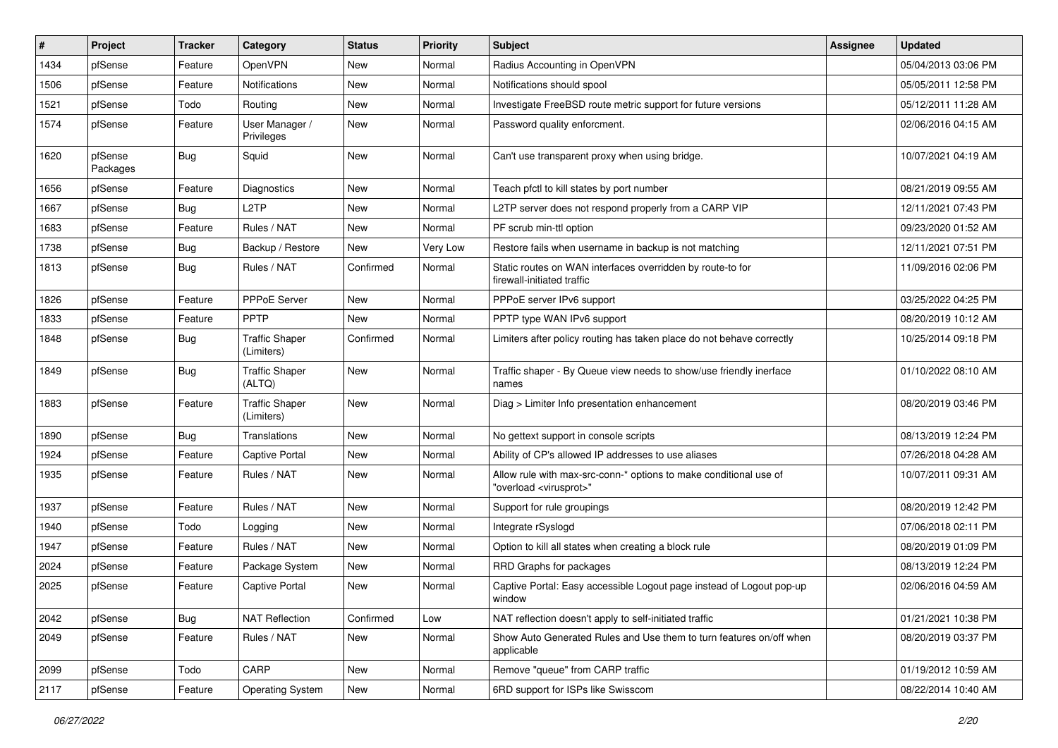| #    | Project             | <b>Tracker</b> | Category                            | <b>Status</b> | <b>Priority</b> | <b>Subject</b>                                                                                          | <b>Assignee</b> | <b>Updated</b>      |
|------|---------------------|----------------|-------------------------------------|---------------|-----------------|---------------------------------------------------------------------------------------------------------|-----------------|---------------------|
| 1434 | pfSense             | Feature        | OpenVPN                             | New           | Normal          | Radius Accounting in OpenVPN                                                                            |                 | 05/04/2013 03:06 PM |
| 1506 | pfSense             | Feature        | <b>Notifications</b>                | New           | Normal          | Notifications should spool                                                                              |                 | 05/05/2011 12:58 PM |
| 1521 | pfSense             | Todo           | Routing                             | New           | Normal          | Investigate FreeBSD route metric support for future versions                                            |                 | 05/12/2011 11:28 AM |
| 1574 | pfSense             | Feature        | User Manager /<br>Privileges        | New           | Normal          | Password quality enforcment.                                                                            |                 | 02/06/2016 04:15 AM |
| 1620 | pfSense<br>Packages | Bug            | Squid                               | New           | Normal          | Can't use transparent proxy when using bridge.                                                          |                 | 10/07/2021 04:19 AM |
| 1656 | pfSense             | Feature        | <b>Diagnostics</b>                  | New           | Normal          | Teach pfctl to kill states by port number                                                               |                 | 08/21/2019 09:55 AM |
| 1667 | pfSense             | Bug            | L <sub>2</sub> TP                   | New           | Normal          | L2TP server does not respond properly from a CARP VIP                                                   |                 | 12/11/2021 07:43 PM |
| 1683 | pfSense             | Feature        | Rules / NAT                         | New           | Normal          | PF scrub min-ttl option                                                                                 |                 | 09/23/2020 01:52 AM |
| 1738 | pfSense             | Bug            | Backup / Restore                    | New           | Very Low        | Restore fails when username in backup is not matching                                                   |                 | 12/11/2021 07:51 PM |
| 1813 | pfSense             | Bug            | Rules / NAT                         | Confirmed     | Normal          | Static routes on WAN interfaces overridden by route-to for<br>firewall-initiated traffic                |                 | 11/09/2016 02:06 PM |
| 1826 | pfSense             | Feature        | PPPoE Server                        | New           | Normal          | PPPoE server IPv6 support                                                                               |                 | 03/25/2022 04:25 PM |
| 1833 | pfSense             | Feature        | <b>PPTP</b>                         | New           | Normal          | PPTP type WAN IPv6 support                                                                              |                 | 08/20/2019 10:12 AM |
| 1848 | pfSense             | Bug            | <b>Traffic Shaper</b><br>(Limiters) | Confirmed     | Normal          | Limiters after policy routing has taken place do not behave correctly                                   |                 | 10/25/2014 09:18 PM |
| 1849 | pfSense             | Bug            | <b>Traffic Shaper</b><br>(ALTQ)     | New           | Normal          | Traffic shaper - By Queue view needs to show/use friendly inerface<br>names                             |                 | 01/10/2022 08:10 AM |
| 1883 | pfSense             | Feature        | <b>Traffic Shaper</b><br>(Limiters) | New           | Normal          | Diag > Limiter Info presentation enhancement                                                            |                 | 08/20/2019 03:46 PM |
| 1890 | pfSense             | Bug            | Translations                        | New           | Normal          | No gettext support in console scripts                                                                   |                 | 08/13/2019 12:24 PM |
| 1924 | pfSense             | Feature        | <b>Captive Portal</b>               | New           | Normal          | Ability of CP's allowed IP addresses to use aliases                                                     |                 | 07/26/2018 04:28 AM |
| 1935 | pfSense             | Feature        | Rules / NAT                         | New           | Normal          | Allow rule with max-src-conn-* options to make conditional use of<br>"overload <virusprot>"</virusprot> |                 | 10/07/2011 09:31 AM |
| 1937 | pfSense             | Feature        | Rules / NAT                         | New           | Normal          | Support for rule groupings                                                                              |                 | 08/20/2019 12:42 PM |
| 1940 | pfSense             | Todo           | Logging                             | New           | Normal          | Integrate rSyslogd                                                                                      |                 | 07/06/2018 02:11 PM |
| 1947 | pfSense             | Feature        | Rules / NAT                         | New           | Normal          | Option to kill all states when creating a block rule                                                    |                 | 08/20/2019 01:09 PM |
| 2024 | pfSense             | Feature        | Package System                      | New           | Normal          | RRD Graphs for packages                                                                                 |                 | 08/13/2019 12:24 PM |
| 2025 | pfSense             | Feature        | Captive Portal                      | New           | Normal          | Captive Portal: Easy accessible Logout page instead of Logout pop-up<br>window                          |                 | 02/06/2016 04:59 AM |
| 2042 | pfSense             | Bug            | <b>NAT Reflection</b>               | Confirmed     | Low             | NAT reflection doesn't apply to self-initiated traffic                                                  |                 | 01/21/2021 10:38 PM |
| 2049 | pfSense             | Feature        | Rules / NAT                         | New           | Normal          | Show Auto Generated Rules and Use them to turn features on/off when<br>applicable                       |                 | 08/20/2019 03:37 PM |
| 2099 | pfSense             | Todo           | CARP                                | New           | Normal          | Remove "queue" from CARP traffic                                                                        |                 | 01/19/2012 10:59 AM |
| 2117 | pfSense             | Feature        | Operating System                    | New           | Normal          | 6RD support for ISPs like Swisscom                                                                      |                 | 08/22/2014 10:40 AM |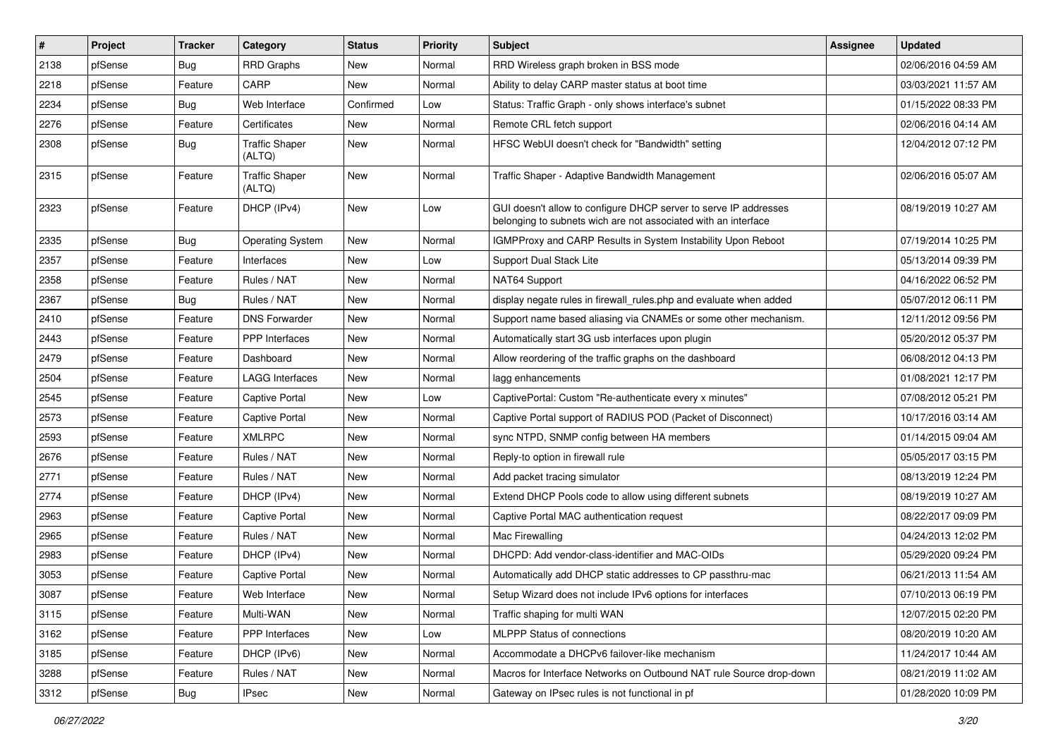| #    | Project | <b>Tracker</b> | Category                        | <b>Status</b> | <b>Priority</b> | <b>Subject</b>                                                                                                                     | Assignee | <b>Updated</b>      |
|------|---------|----------------|---------------------------------|---------------|-----------------|------------------------------------------------------------------------------------------------------------------------------------|----------|---------------------|
| 2138 | pfSense | Bug            | <b>RRD Graphs</b>               | New           | Normal          | RRD Wireless graph broken in BSS mode                                                                                              |          | 02/06/2016 04:59 AM |
| 2218 | pfSense | Feature        | CARP                            | New           | Normal          | Ability to delay CARP master status at boot time                                                                                   |          | 03/03/2021 11:57 AM |
| 2234 | pfSense | Bug            | Web Interface                   | Confirmed     | Low             | Status: Traffic Graph - only shows interface's subnet                                                                              |          | 01/15/2022 08:33 PM |
| 2276 | pfSense | Feature        | Certificates                    | New           | Normal          | Remote CRL fetch support                                                                                                           |          | 02/06/2016 04:14 AM |
| 2308 | pfSense | Bug            | <b>Traffic Shaper</b><br>(ALTQ) | New           | Normal          | HFSC WebUI doesn't check for "Bandwidth" setting                                                                                   |          | 12/04/2012 07:12 PM |
| 2315 | pfSense | Feature        | <b>Traffic Shaper</b><br>(ALTQ) | New           | Normal          | Traffic Shaper - Adaptive Bandwidth Management                                                                                     |          | 02/06/2016 05:07 AM |
| 2323 | pfSense | Feature        | DHCP (IPv4)                     | New           | Low             | GUI doesn't allow to configure DHCP server to serve IP addresses<br>belonging to subnets wich are not associated with an interface |          | 08/19/2019 10:27 AM |
| 2335 | pfSense | Bug            | <b>Operating System</b>         | New           | Normal          | IGMPProxy and CARP Results in System Instability Upon Reboot                                                                       |          | 07/19/2014 10:25 PM |
| 2357 | pfSense | Feature        | Interfaces                      | New           | Low             | Support Dual Stack Lite                                                                                                            |          | 05/13/2014 09:39 PM |
| 2358 | pfSense | Feature        | Rules / NAT                     | New           | Normal          | NAT64 Support                                                                                                                      |          | 04/16/2022 06:52 PM |
| 2367 | pfSense | Bug            | Rules / NAT                     | New           | Normal          | display negate rules in firewall rules php and evaluate when added                                                                 |          | 05/07/2012 06:11 PM |
| 2410 | pfSense | Feature        | <b>DNS Forwarder</b>            | New           | Normal          | Support name based aliasing via CNAMEs or some other mechanism.                                                                    |          | 12/11/2012 09:56 PM |
| 2443 | pfSense | Feature        | PPP Interfaces                  | New           | Normal          | Automatically start 3G usb interfaces upon plugin                                                                                  |          | 05/20/2012 05:37 PM |
| 2479 | pfSense | Feature        | Dashboard                       | New           | Normal          | Allow reordering of the traffic graphs on the dashboard                                                                            |          | 06/08/2012 04:13 PM |
| 2504 | pfSense | Feature        | <b>LAGG Interfaces</b>          | New           | Normal          | lagg enhancements                                                                                                                  |          | 01/08/2021 12:17 PM |
| 2545 | pfSense | Feature        | Captive Portal                  | New           | Low             | CaptivePortal: Custom "Re-authenticate every x minutes"                                                                            |          | 07/08/2012 05:21 PM |
| 2573 | pfSense | Feature        | Captive Portal                  | New           | Normal          | Captive Portal support of RADIUS POD (Packet of Disconnect)                                                                        |          | 10/17/2016 03:14 AM |
| 2593 | pfSense | Feature        | <b>XMLRPC</b>                   | New           | Normal          | sync NTPD, SNMP config between HA members                                                                                          |          | 01/14/2015 09:04 AM |
| 2676 | pfSense | Feature        | Rules / NAT                     | New           | Normal          | Reply-to option in firewall rule                                                                                                   |          | 05/05/2017 03:15 PM |
| 2771 | pfSense | Feature        | Rules / NAT                     | New           | Normal          | Add packet tracing simulator                                                                                                       |          | 08/13/2019 12:24 PM |
| 2774 | pfSense | Feature        | DHCP (IPv4)                     | New           | Normal          | Extend DHCP Pools code to allow using different subnets                                                                            |          | 08/19/2019 10:27 AM |
| 2963 | pfSense | Feature        | <b>Captive Portal</b>           | New           | Normal          | Captive Portal MAC authentication request                                                                                          |          | 08/22/2017 09:09 PM |
| 2965 | pfSense | Feature        | Rules / NAT                     | New           | Normal          | Mac Firewalling                                                                                                                    |          | 04/24/2013 12:02 PM |
| 2983 | pfSense | Feature        | DHCP (IPv4)                     | New           | Normal          | DHCPD: Add vendor-class-identifier and MAC-OIDs                                                                                    |          | 05/29/2020 09:24 PM |
| 3053 | pfSense | Feature        | Captive Portal                  | New           | Normal          | Automatically add DHCP static addresses to CP passthru-mac                                                                         |          | 06/21/2013 11:54 AM |
| 3087 | pfSense | Feature        | Web Interface                   | New           | Normal          | Setup Wizard does not include IPv6 options for interfaces                                                                          |          | 07/10/2013 06:19 PM |
| 3115 | pfSense | Feature        | Multi-WAN                       | New           | Normal          | Traffic shaping for multi WAN                                                                                                      |          | 12/07/2015 02:20 PM |
| 3162 | pfSense | Feature        | PPP Interfaces                  | New           | Low             | MLPPP Status of connections                                                                                                        |          | 08/20/2019 10:20 AM |
| 3185 | pfSense | Feature        | DHCP (IPv6)                     | New           | Normal          | Accommodate a DHCPv6 failover-like mechanism                                                                                       |          | 11/24/2017 10:44 AM |
| 3288 | pfSense | Feature        | Rules / NAT                     | New           | Normal          | Macros for Interface Networks on Outbound NAT rule Source drop-down                                                                |          | 08/21/2019 11:02 AM |
| 3312 | pfSense | Bug            | IPsec                           | New           | Normal          | Gateway on IPsec rules is not functional in pf                                                                                     |          | 01/28/2020 10:09 PM |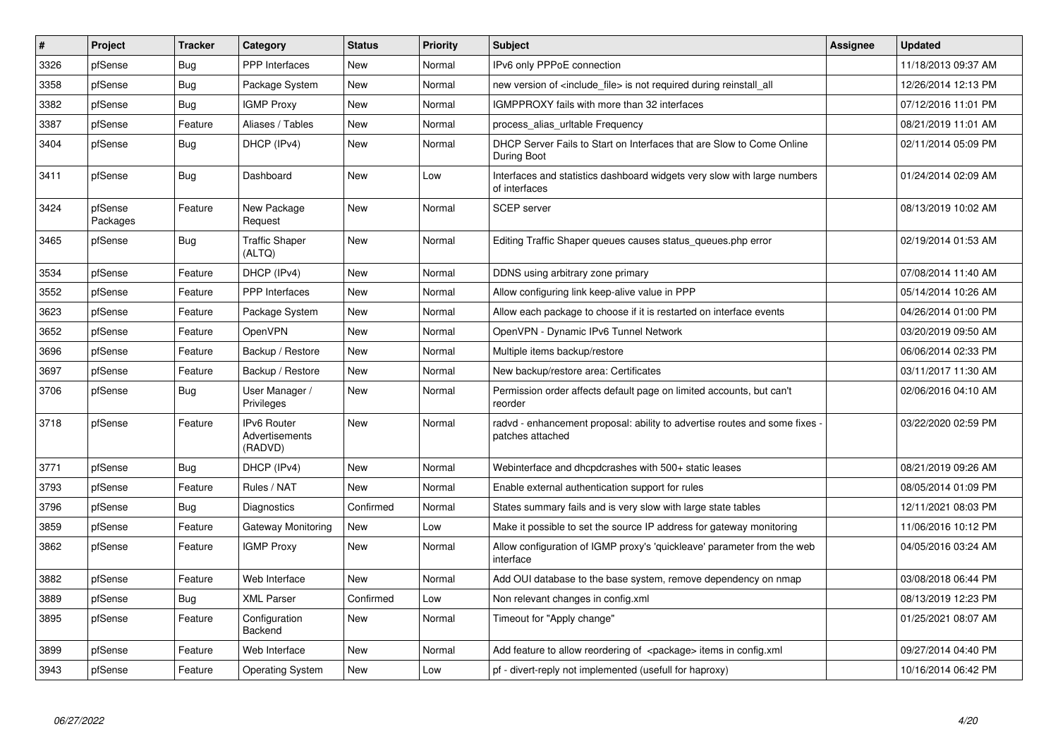| $\vert$ # | Project             | <b>Tracker</b> | Category                                 | <b>Status</b> | <b>Priority</b> | <b>Subject</b>                                                                               | <b>Assignee</b> | <b>Updated</b>      |
|-----------|---------------------|----------------|------------------------------------------|---------------|-----------------|----------------------------------------------------------------------------------------------|-----------------|---------------------|
| 3326      | pfSense             | Bug            | PPP Interfaces                           | <b>New</b>    | Normal          | IPv6 only PPPoE connection                                                                   |                 | 11/18/2013 09:37 AM |
| 3358      | pfSense             | Bug            | Package System                           | New           | Normal          | new version of <include file=""> is not required during reinstall all</include>              |                 | 12/26/2014 12:13 PM |
| 3382      | pfSense             | Bug            | <b>IGMP Proxy</b>                        | New           | Normal          | IGMPPROXY fails with more than 32 interfaces                                                 |                 | 07/12/2016 11:01 PM |
| 3387      | pfSense             | Feature        | Aliases / Tables                         | New           | Normal          | process_alias_urltable Frequency                                                             |                 | 08/21/2019 11:01 AM |
| 3404      | pfSense             | Bug            | DHCP (IPv4)                              | New           | Normal          | DHCP Server Fails to Start on Interfaces that are Slow to Come Online<br>During Boot         |                 | 02/11/2014 05:09 PM |
| 3411      | pfSense             | Bug            | Dashboard                                | <b>New</b>    | Low             | Interfaces and statistics dashboard widgets very slow with large numbers<br>of interfaces    |                 | 01/24/2014 02:09 AM |
| 3424      | pfSense<br>Packages | Feature        | New Package<br>Request                   | New           | Normal          | <b>SCEP</b> server                                                                           |                 | 08/13/2019 10:02 AM |
| 3465      | pfSense             | Bug            | <b>Traffic Shaper</b><br>(ALTQ)          | <b>New</b>    | Normal          | Editing Traffic Shaper queues causes status_queues.php error                                 |                 | 02/19/2014 01:53 AM |
| 3534      | pfSense             | Feature        | DHCP (IPv4)                              | <b>New</b>    | Normal          | DDNS using arbitrary zone primary                                                            |                 | 07/08/2014 11:40 AM |
| 3552      | pfSense             | Feature        | PPP Interfaces                           | <b>New</b>    | Normal          | Allow configuring link keep-alive value in PPP                                               |                 | 05/14/2014 10:26 AM |
| 3623      | pfSense             | Feature        | Package System                           | New           | Normal          | Allow each package to choose if it is restarted on interface events                          |                 | 04/26/2014 01:00 PM |
| 3652      | pfSense             | Feature        | OpenVPN                                  | New           | Normal          | OpenVPN - Dynamic IPv6 Tunnel Network                                                        |                 | 03/20/2019 09:50 AM |
| 3696      | pfSense             | Feature        | Backup / Restore                         | New           | Normal          | Multiple items backup/restore                                                                |                 | 06/06/2014 02:33 PM |
| 3697      | pfSense             | Feature        | Backup / Restore                         | New           | Normal          | New backup/restore area: Certificates                                                        |                 | 03/11/2017 11:30 AM |
| 3706      | pfSense             | Bug            | User Manager /<br>Privileges             | New           | Normal          | Permission order affects default page on limited accounts, but can't<br>reorder              |                 | 02/06/2016 04:10 AM |
| 3718      | pfSense             | Feature        | IPv6 Router<br>Advertisements<br>(RADVD) | New           | Normal          | radvd - enhancement proposal: ability to advertise routes and some fixes<br>patches attached |                 | 03/22/2020 02:59 PM |
| 3771      | pfSense             | Bug            | DHCP (IPv4)                              | New           | Normal          | Webinterface and dhcpdcrashes with 500+ static leases                                        |                 | 08/21/2019 09:26 AM |
| 3793      | pfSense             | Feature        | Rules / NAT                              | New           | Normal          | Enable external authentication support for rules                                             |                 | 08/05/2014 01:09 PM |
| 3796      | pfSense             | Bug            | Diagnostics                              | Confirmed     | Normal          | States summary fails and is very slow with large state tables                                |                 | 12/11/2021 08:03 PM |
| 3859      | pfSense             | Feature        | Gateway Monitoring                       | New           | Low             | Make it possible to set the source IP address for gateway monitoring                         |                 | 11/06/2016 10:12 PM |
| 3862      | pfSense             | Feature        | <b>IGMP Proxy</b>                        | New           | Normal          | Allow configuration of IGMP proxy's 'quickleave' parameter from the web<br>interface         |                 | 04/05/2016 03:24 AM |
| 3882      | pfSense             | Feature        | Web Interface                            | New           | Normal          | Add OUI database to the base system, remove dependency on nmap                               |                 | 03/08/2018 06:44 PM |
| 3889      | pfSense             | Bug            | <b>XML Parser</b>                        | Confirmed     | Low             | Non relevant changes in config.xml                                                           |                 | 08/13/2019 12:23 PM |
| 3895      | pfSense             | Feature        | Configuration<br>Backend                 | <b>New</b>    | Normal          | Timeout for "Apply change"                                                                   |                 | 01/25/2021 08:07 AM |
| 3899      | pfSense             | Feature        | Web Interface                            | New           | Normal          | Add feature to allow reordering of <package> items in config.xml</package>                   |                 | 09/27/2014 04:40 PM |
| 3943      | pfSense             | Feature        | <b>Operating System</b>                  | <b>New</b>    | Low             | pf - divert-reply not implemented (usefull for haproxy)                                      |                 | 10/16/2014 06:42 PM |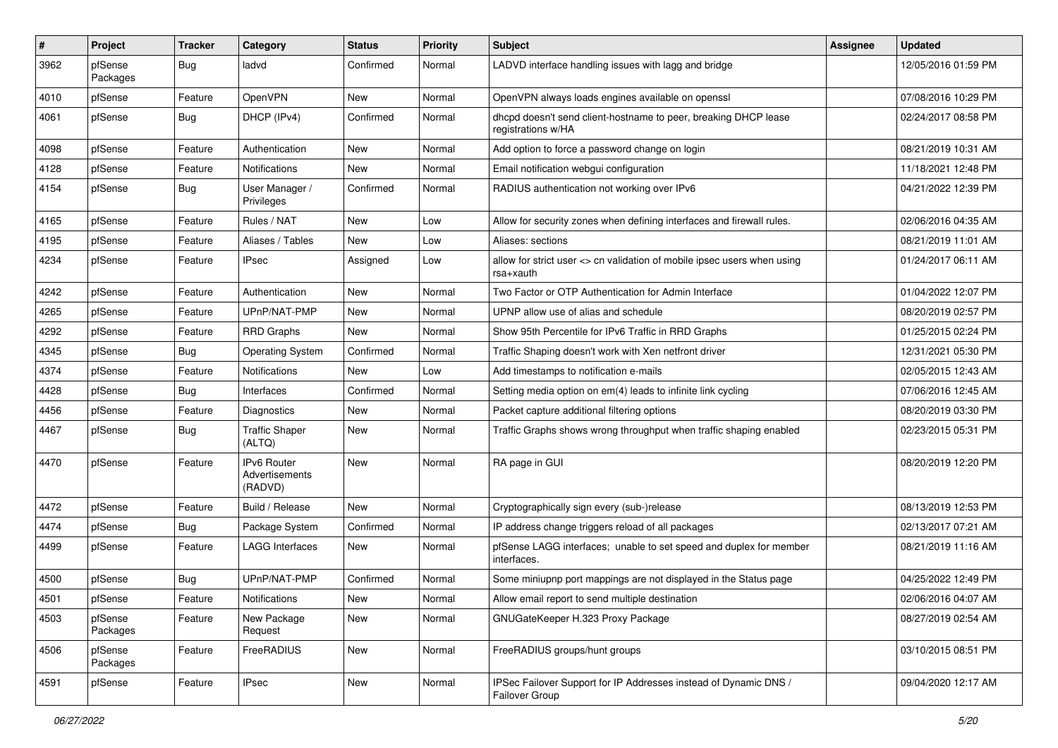| #    | Project             | <b>Tracker</b> | Category                                        | <b>Status</b> | <b>Priority</b> | <b>Subject</b>                                                                        | Assignee | <b>Updated</b>      |
|------|---------------------|----------------|-------------------------------------------------|---------------|-----------------|---------------------------------------------------------------------------------------|----------|---------------------|
| 3962 | pfSense<br>Packages | Bug            | ladvd                                           | Confirmed     | Normal          | LADVD interface handling issues with lagg and bridge                                  |          | 12/05/2016 01:59 PM |
| 4010 | pfSense             | Feature        | <b>OpenVPN</b>                                  | New           | Normal          | OpenVPN always loads engines available on openssl                                     |          | 07/08/2016 10:29 PM |
| 4061 | pfSense             | Bug            | DHCP (IPv4)                                     | Confirmed     | Normal          | dhcpd doesn't send client-hostname to peer, breaking DHCP lease<br>registrations w/HA |          | 02/24/2017 08:58 PM |
| 4098 | pfSense             | Feature        | Authentication                                  | New           | Normal          | Add option to force a password change on login                                        |          | 08/21/2019 10:31 AM |
| 4128 | pfSense             | Feature        | Notifications                                   | New           | Normal          | Email notification webgui configuration                                               |          | 11/18/2021 12:48 PM |
| 4154 | pfSense             | Bug            | User Manager /<br>Privileges                    | Confirmed     | Normal          | RADIUS authentication not working over IPv6                                           |          | 04/21/2022 12:39 PM |
| 4165 | pfSense             | Feature        | Rules / NAT                                     | New           | Low             | Allow for security zones when defining interfaces and firewall rules.                 |          | 02/06/2016 04:35 AM |
| 4195 | pfSense             | Feature        | Aliases / Tables                                | New           | Low             | Aliases: sections                                                                     |          | 08/21/2019 11:01 AM |
| 4234 | pfSense             | Feature        | IPsec                                           | Assigned      | Low             | allow for strict user <> cn validation of mobile ipsec users when using<br>rsa+xauth  |          | 01/24/2017 06:11 AM |
| 4242 | pfSense             | Feature        | Authentication                                  | New           | Normal          | Two Factor or OTP Authentication for Admin Interface                                  |          | 01/04/2022 12:07 PM |
| 4265 | pfSense             | Feature        | UPnP/NAT-PMP                                    | New           | Normal          | UPNP allow use of alias and schedule                                                  |          | 08/20/2019 02:57 PM |
| 4292 | pfSense             | Feature        | <b>RRD Graphs</b>                               | New           | Normal          | Show 95th Percentile for IPv6 Traffic in RRD Graphs                                   |          | 01/25/2015 02:24 PM |
| 4345 | pfSense             | Bug            | <b>Operating System</b>                         | Confirmed     | Normal          | Traffic Shaping doesn't work with Xen netfront driver                                 |          | 12/31/2021 05:30 PM |
| 4374 | pfSense             | Feature        | Notifications                                   | New           | Low             | Add timestamps to notification e-mails                                                |          | 02/05/2015 12:43 AM |
| 4428 | pfSense             | Bug            | Interfaces                                      | Confirmed     | Normal          | Setting media option on em(4) leads to infinite link cycling                          |          | 07/06/2016 12:45 AM |
| 4456 | pfSense             | Feature        | Diagnostics                                     | New           | Normal          | Packet capture additional filtering options                                           |          | 08/20/2019 03:30 PM |
| 4467 | pfSense             | Bug            | <b>Traffic Shaper</b><br>(ALTQ)                 | New           | Normal          | Traffic Graphs shows wrong throughput when traffic shaping enabled                    |          | 02/23/2015 05:31 PM |
| 4470 | pfSense             | Feature        | <b>IPv6 Router</b><br>Advertisements<br>(RADVD) | New           | Normal          | RA page in GUI                                                                        |          | 08/20/2019 12:20 PM |
| 4472 | pfSense             | Feature        | Build / Release                                 | <b>New</b>    | Normal          | Cryptographically sign every (sub-)release                                            |          | 08/13/2019 12:53 PM |
| 4474 | pfSense             | Bug            | Package System                                  | Confirmed     | Normal          | IP address change triggers reload of all packages                                     |          | 02/13/2017 07:21 AM |
| 4499 | pfSense             | Feature        | LAGG Interfaces                                 | New           | Normal          | pfSense LAGG interfaces; unable to set speed and duplex for member<br>interfaces.     |          | 08/21/2019 11:16 AM |
| 4500 | pfSense             | Bug            | UPnP/NAT-PMP                                    | Confirmed     | Normal          | Some miniupnp port mappings are not displayed in the Status page                      |          | 04/25/2022 12:49 PM |
| 4501 | pfSense             | Feature        | Notifications                                   | New           | Normal          | Allow email report to send multiple destination                                       |          | 02/06/2016 04:07 AM |
| 4503 | pfSense<br>Packages | Feature        | New Package<br>Request                          | New           | Normal          | GNUGateKeeper H.323 Proxy Package                                                     |          | 08/27/2019 02:54 AM |
| 4506 | pfSense<br>Packages | Feature        | FreeRADIUS                                      | New           | Normal          | FreeRADIUS groups/hunt groups                                                         |          | 03/10/2015 08:51 PM |
| 4591 | pfSense             | Feature        | <b>IPsec</b>                                    | New           | Normal          | IPSec Failover Support for IP Addresses instead of Dynamic DNS /<br>Failover Group    |          | 09/04/2020 12:17 AM |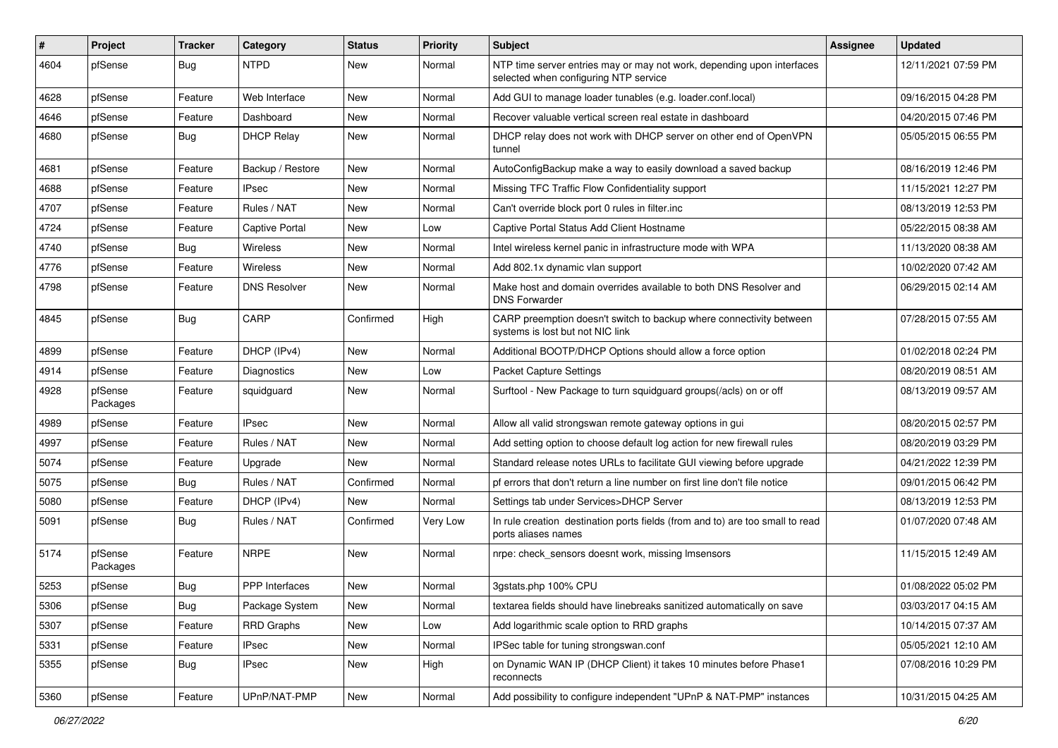| #    | Project             | <b>Tracker</b> | Category            | <b>Status</b> | <b>Priority</b> | <b>Subject</b>                                                                                                  | <b>Assignee</b> | <b>Updated</b>      |
|------|---------------------|----------------|---------------------|---------------|-----------------|-----------------------------------------------------------------------------------------------------------------|-----------------|---------------------|
| 4604 | pfSense             | Bug            | <b>NTPD</b>         | New           | Normal          | NTP time server entries may or may not work, depending upon interfaces<br>selected when configuring NTP service |                 | 12/11/2021 07:59 PM |
| 4628 | pfSense             | Feature        | Web Interface       | New           | Normal          | Add GUI to manage loader tunables (e.g. loader.conf.local)                                                      |                 | 09/16/2015 04:28 PM |
| 4646 | pfSense             | Feature        | Dashboard           | New           | Normal          | Recover valuable vertical screen real estate in dashboard                                                       |                 | 04/20/2015 07:46 PM |
| 4680 | pfSense             | Bug            | <b>DHCP Relay</b>   | New           | Normal          | DHCP relay does not work with DHCP server on other end of OpenVPN<br>tunnel                                     |                 | 05/05/2015 06:55 PM |
| 4681 | pfSense             | Feature        | Backup / Restore    | New           | Normal          | AutoConfigBackup make a way to easily download a saved backup                                                   |                 | 08/16/2019 12:46 PM |
| 4688 | pfSense             | Feature        | <b>IPsec</b>        | New           | Normal          | Missing TFC Traffic Flow Confidentiality support                                                                |                 | 11/15/2021 12:27 PM |
| 4707 | pfSense             | Feature        | Rules / NAT         | New           | Normal          | Can't override block port 0 rules in filter.inc                                                                 |                 | 08/13/2019 12:53 PM |
| 4724 | pfSense             | Feature        | Captive Portal      | New           | Low             | Captive Portal Status Add Client Hostname                                                                       |                 | 05/22/2015 08:38 AM |
| 4740 | pfSense             | Bug            | <b>Wireless</b>     | New           | Normal          | Intel wireless kernel panic in infrastructure mode with WPA                                                     |                 | 11/13/2020 08:38 AM |
| 4776 | pfSense             | Feature        | <b>Wireless</b>     | New           | Normal          | Add 802.1x dynamic vlan support                                                                                 |                 | 10/02/2020 07:42 AM |
| 4798 | pfSense             | Feature        | <b>DNS Resolver</b> | New           | Normal          | Make host and domain overrides available to both DNS Resolver and<br><b>DNS Forwarder</b>                       |                 | 06/29/2015 02:14 AM |
| 4845 | pfSense             | Bug            | CARP                | Confirmed     | High            | CARP preemption doesn't switch to backup where connectivity between<br>systems is lost but not NIC link         |                 | 07/28/2015 07:55 AM |
| 4899 | pfSense             | Feature        | DHCP (IPv4)         | New           | Normal          | Additional BOOTP/DHCP Options should allow a force option                                                       |                 | 01/02/2018 02:24 PM |
| 4914 | pfSense             | Feature        | Diagnostics         | New           | Low             | <b>Packet Capture Settings</b>                                                                                  |                 | 08/20/2019 08:51 AM |
| 4928 | pfSense<br>Packages | Feature        | squidquard          | New           | Normal          | Surftool - New Package to turn squidguard groups(/acls) on or off                                               |                 | 08/13/2019 09:57 AM |
| 4989 | pfSense             | Feature        | <b>IPsec</b>        | New           | Normal          | Allow all valid strongswan remote gateway options in gui                                                        |                 | 08/20/2015 02:57 PM |
| 4997 | pfSense             | Feature        | Rules / NAT         | New           | Normal          | Add setting option to choose default log action for new firewall rules                                          |                 | 08/20/2019 03:29 PM |
| 5074 | pfSense             | Feature        | Upgrade             | New           | Normal          | Standard release notes URLs to facilitate GUI viewing before upgrade                                            |                 | 04/21/2022 12:39 PM |
| 5075 | pfSense             | Bug            | Rules / NAT         | Confirmed     | Normal          | pf errors that don't return a line number on first line don't file notice                                       |                 | 09/01/2015 06:42 PM |
| 5080 | pfSense             | Feature        | DHCP (IPv4)         | New           | Normal          | Settings tab under Services>DHCP Server                                                                         |                 | 08/13/2019 12:53 PM |
| 5091 | pfSense             | Bug            | Rules / NAT         | Confirmed     | Very Low        | In rule creation destination ports fields (from and to) are too small to read<br>ports aliases names            |                 | 01/07/2020 07:48 AM |
| 5174 | pfSense<br>Packages | Feature        | <b>NRPE</b>         | New           | Normal          | nrpe: check sensors doesnt work, missing Imsensors                                                              |                 | 11/15/2015 12:49 AM |
| 5253 | pfSense             | Bug            | PPP Interfaces      | New           | Normal          | 3gstats.php 100% CPU                                                                                            |                 | 01/08/2022 05:02 PM |
| 5306 | pfSense             | <b>Bug</b>     | Package System      | New           | Normal          | textarea fields should have linebreaks sanitized automatically on save                                          |                 | 03/03/2017 04:15 AM |
| 5307 | pfSense             | Feature        | <b>RRD Graphs</b>   | New           | Low             | Add logarithmic scale option to RRD graphs                                                                      |                 | 10/14/2015 07:37 AM |
| 5331 | pfSense             | Feature        | IPsec               | New           | Normal          | IPSec table for tuning strongswan.conf                                                                          |                 | 05/05/2021 12:10 AM |
| 5355 | pfSense             | <b>Bug</b>     | <b>IPsec</b>        | New           | High            | on Dynamic WAN IP (DHCP Client) it takes 10 minutes before Phase1<br>reconnects                                 |                 | 07/08/2016 10:29 PM |
| 5360 | pfSense             | Feature        | UPnP/NAT-PMP        | New           | Normal          | Add possibility to configure independent "UPnP & NAT-PMP" instances                                             |                 | 10/31/2015 04:25 AM |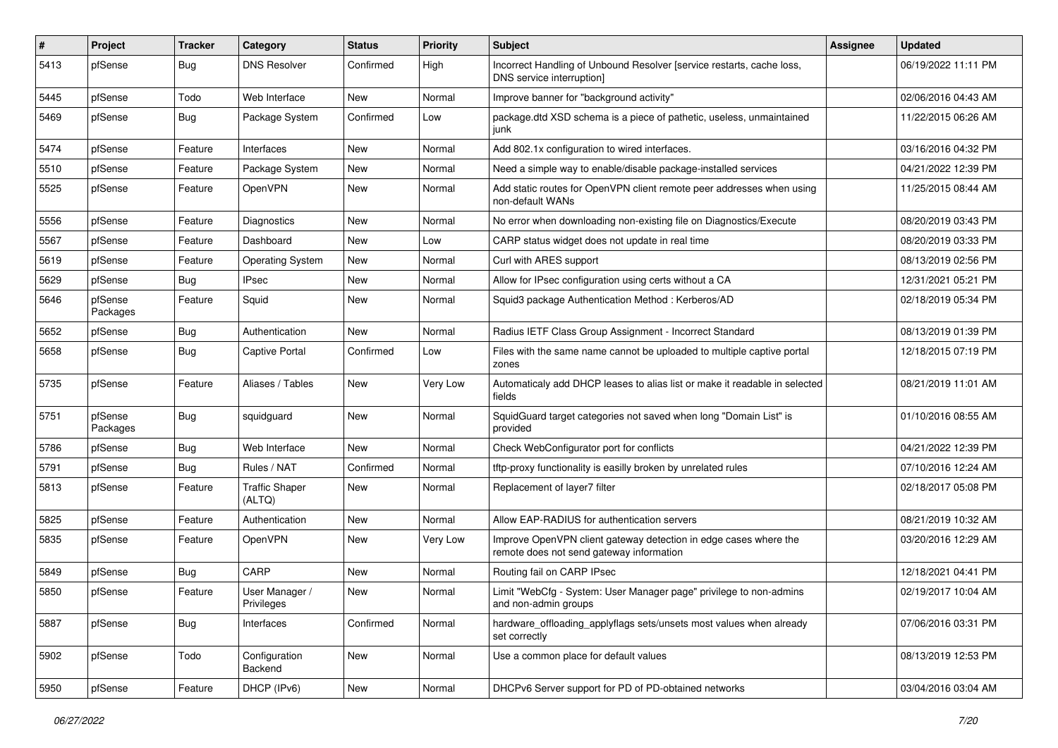| $\#$ | Project             | <b>Tracker</b> | Category                        | <b>Status</b> | Priority | <b>Subject</b>                                                                                               | Assignee | <b>Updated</b>      |
|------|---------------------|----------------|---------------------------------|---------------|----------|--------------------------------------------------------------------------------------------------------------|----------|---------------------|
| 5413 | pfSense             | Bug            | <b>DNS Resolver</b>             | Confirmed     | High     | Incorrect Handling of Unbound Resolver [service restarts, cache loss,<br>DNS service interruption]           |          | 06/19/2022 11:11 PM |
| 5445 | pfSense             | Todo           | Web Interface                   | New           | Normal   | Improve banner for "background activity"                                                                     |          | 02/06/2016 04:43 AM |
| 5469 | pfSense             | Bug            | Package System                  | Confirmed     | Low      | package.dtd XSD schema is a piece of pathetic, useless, unmaintained<br>junk                                 |          | 11/22/2015 06:26 AM |
| 5474 | pfSense             | Feature        | Interfaces                      | New           | Normal   | Add 802.1x configuration to wired interfaces.                                                                |          | 03/16/2016 04:32 PM |
| 5510 | pfSense             | Feature        | Package System                  | New           | Normal   | Need a simple way to enable/disable package-installed services                                               |          | 04/21/2022 12:39 PM |
| 5525 | pfSense             | Feature        | OpenVPN                         | New           | Normal   | Add static routes for OpenVPN client remote peer addresses when using<br>non-default WANs                    |          | 11/25/2015 08:44 AM |
| 5556 | pfSense             | Feature        | Diagnostics                     | New           | Normal   | No error when downloading non-existing file on Diagnostics/Execute                                           |          | 08/20/2019 03:43 PM |
| 5567 | pfSense             | Feature        | Dashboard                       | New           | Low      | CARP status widget does not update in real time                                                              |          | 08/20/2019 03:33 PM |
| 5619 | pfSense             | Feature        | <b>Operating System</b>         | New           | Normal   | Curl with ARES support                                                                                       |          | 08/13/2019 02:56 PM |
| 5629 | pfSense             | Bug            | <b>IPsec</b>                    | New           | Normal   | Allow for IPsec configuration using certs without a CA                                                       |          | 12/31/2021 05:21 PM |
| 5646 | pfSense<br>Packages | Feature        | Squid                           | New           | Normal   | Squid3 package Authentication Method: Kerberos/AD                                                            |          | 02/18/2019 05:34 PM |
| 5652 | pfSense             | Bug            | Authentication                  | New           | Normal   | Radius IETF Class Group Assignment - Incorrect Standard                                                      |          | 08/13/2019 01:39 PM |
| 5658 | pfSense             | Bug            | <b>Captive Portal</b>           | Confirmed     | Low      | Files with the same name cannot be uploaded to multiple captive portal<br>zones                              |          | 12/18/2015 07:19 PM |
| 5735 | pfSense             | Feature        | Aliases / Tables                | New           | Very Low | Automaticaly add DHCP leases to alias list or make it readable in selected<br>fields                         |          | 08/21/2019 11:01 AM |
| 5751 | pfSense<br>Packages | Bug            | squidguard                      | New           | Normal   | SquidGuard target categories not saved when long "Domain List" is<br>provided                                |          | 01/10/2016 08:55 AM |
| 5786 | pfSense             | Bug            | Web Interface                   | <b>New</b>    | Normal   | Check WebConfigurator port for conflicts                                                                     |          | 04/21/2022 12:39 PM |
| 5791 | pfSense             | Bug            | Rules / NAT                     | Confirmed     | Normal   | tftp-proxy functionality is easilly broken by unrelated rules                                                |          | 07/10/2016 12:24 AM |
| 5813 | pfSense             | Feature        | <b>Traffic Shaper</b><br>(ALTQ) | New           | Normal   | Replacement of layer7 filter                                                                                 |          | 02/18/2017 05:08 PM |
| 5825 | pfSense             | Feature        | Authentication                  | New           | Normal   | Allow EAP-RADIUS for authentication servers                                                                  |          | 08/21/2019 10:32 AM |
| 5835 | pfSense             | Feature        | OpenVPN                         | New           | Very Low | Improve OpenVPN client gateway detection in edge cases where the<br>remote does not send gateway information |          | 03/20/2016 12:29 AM |
| 5849 | pfSense             | Bug            | CARP                            | New           | Normal   | Routing fail on CARP IPsec                                                                                   |          | 12/18/2021 04:41 PM |
| 5850 | pfSense             | Feature        | User Manager /<br>Privileges    | New           | Normal   | Limit "WebCfg - System: User Manager page" privilege to non-admins<br>and non-admin groups                   |          | 02/19/2017 10:04 AM |
| 5887 | pfSense             | <b>Bug</b>     | Interfaces                      | Confirmed     | Normal   | hardware offloading applyflags sets/unsets most values when already<br>set correctly                         |          | 07/06/2016 03:31 PM |
| 5902 | pfSense             | Todo           | Configuration<br>Backend        | New           | Normal   | Use a common place for default values                                                                        |          | 08/13/2019 12:53 PM |
| 5950 | pfSense             | Feature        | DHCP (IPv6)                     | New           | Normal   | DHCPv6 Server support for PD of PD-obtained networks                                                         |          | 03/04/2016 03:04 AM |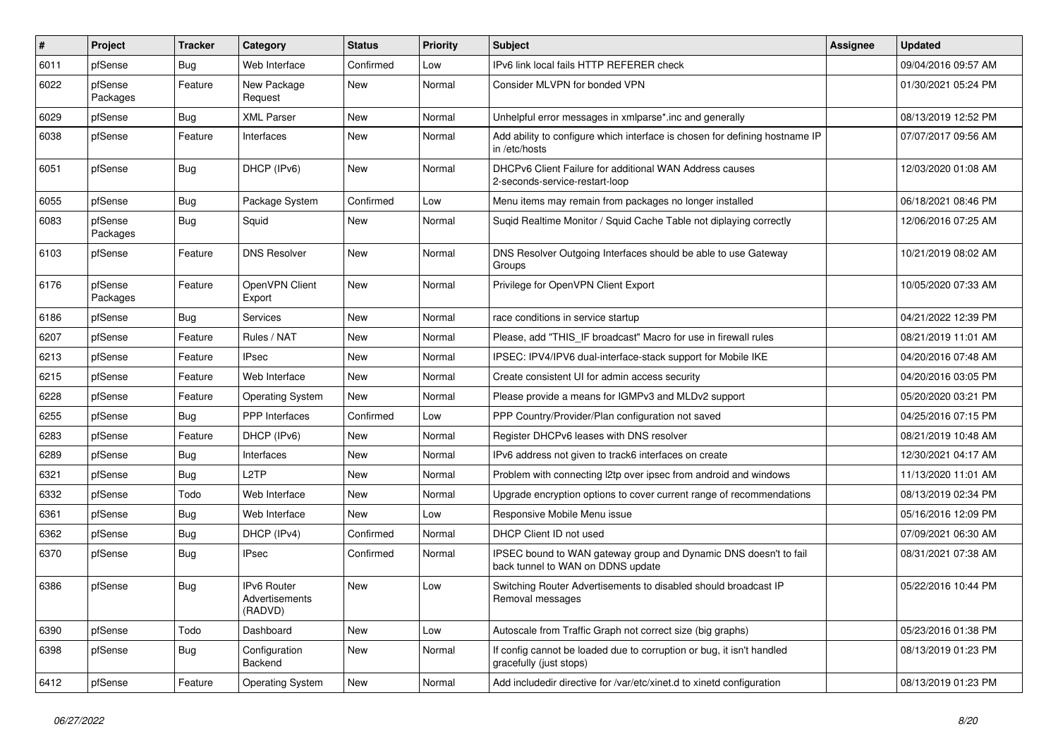| ∦    | Project             | <b>Tracker</b> | Category                                        | <b>Status</b> | Priority | <b>Subject</b>                                                                                        | <b>Assignee</b> | <b>Updated</b>      |
|------|---------------------|----------------|-------------------------------------------------|---------------|----------|-------------------------------------------------------------------------------------------------------|-----------------|---------------------|
| 6011 | pfSense             | Bug            | Web Interface                                   | Confirmed     | Low      | IPv6 link local fails HTTP REFERER check                                                              |                 | 09/04/2016 09:57 AM |
| 6022 | pfSense<br>Packages | Feature        | New Package<br>Request                          | <b>New</b>    | Normal   | Consider MLVPN for bonded VPN                                                                         |                 | 01/30/2021 05:24 PM |
| 6029 | pfSense             | Bug            | <b>XML Parser</b>                               | <b>New</b>    | Normal   | Unhelpful error messages in xmlparse*.inc and generally                                               |                 | 08/13/2019 12:52 PM |
| 6038 | pfSense             | Feature        | Interfaces                                      | New           | Normal   | Add ability to configure which interface is chosen for defining hostname IP<br>in /etc/hosts          |                 | 07/07/2017 09:56 AM |
| 6051 | pfSense             | Bug            | DHCP (IPv6)                                     | <b>New</b>    | Normal   | DHCPv6 Client Failure for additional WAN Address causes<br>2-seconds-service-restart-loop             |                 | 12/03/2020 01:08 AM |
| 6055 | pfSense             | Bug            | Package System                                  | Confirmed     | Low      | Menu items may remain from packages no longer installed                                               |                 | 06/18/2021 08:46 PM |
| 6083 | pfSense<br>Packages | Bug            | Squid                                           | <b>New</b>    | Normal   | Suqid Realtime Monitor / Squid Cache Table not diplaying correctly                                    |                 | 12/06/2016 07:25 AM |
| 6103 | pfSense             | Feature        | <b>DNS Resolver</b>                             | <b>New</b>    | Normal   | DNS Resolver Outgoing Interfaces should be able to use Gateway<br>Groups                              |                 | 10/21/2019 08:02 AM |
| 6176 | pfSense<br>Packages | Feature        | OpenVPN Client<br>Export                        | New           | Normal   | Privilege for OpenVPN Client Export                                                                   |                 | 10/05/2020 07:33 AM |
| 6186 | pfSense             | Bug            | Services                                        | <b>New</b>    | Normal   | race conditions in service startup                                                                    |                 | 04/21/2022 12:39 PM |
| 6207 | pfSense             | Feature        | Rules / NAT                                     | New           | Normal   | Please, add "THIS IF broadcast" Macro for use in firewall rules                                       |                 | 08/21/2019 11:01 AM |
| 6213 | pfSense             | Feature        | <b>IPsec</b>                                    | New           | Normal   | IPSEC: IPV4/IPV6 dual-interface-stack support for Mobile IKE                                          |                 | 04/20/2016 07:48 AM |
| 6215 | pfSense             | Feature        | Web Interface                                   | New           | Normal   | Create consistent UI for admin access security                                                        |                 | 04/20/2016 03:05 PM |
| 6228 | pfSense             | Feature        | <b>Operating System</b>                         | New           | Normal   | Please provide a means for IGMPv3 and MLDv2 support                                                   |                 | 05/20/2020 03:21 PM |
| 6255 | pfSense             | Bug            | <b>PPP</b> Interfaces                           | Confirmed     | Low      | PPP Country/Provider/Plan configuration not saved                                                     |                 | 04/25/2016 07:15 PM |
| 6283 | pfSense             | Feature        | DHCP (IPv6)                                     | New           | Normal   | Register DHCPv6 leases with DNS resolver                                                              |                 | 08/21/2019 10:48 AM |
| 6289 | pfSense             | Bug            | Interfaces                                      | New           | Normal   | IPv6 address not given to track6 interfaces on create                                                 |                 | 12/30/2021 04:17 AM |
| 6321 | pfSense             | Bug            | L <sub>2</sub> TP                               | New           | Normal   | Problem with connecting I2tp over ipsec from android and windows                                      |                 | 11/13/2020 11:01 AM |
| 6332 | pfSense             | Todo           | Web Interface                                   | New           | Normal   | Upgrade encryption options to cover current range of recommendations                                  |                 | 08/13/2019 02:34 PM |
| 6361 | pfSense             | Bug            | Web Interface                                   | <b>New</b>    | Low      | Responsive Mobile Menu issue                                                                          |                 | 05/16/2016 12:09 PM |
| 6362 | pfSense             | Bug            | DHCP (IPv4)                                     | Confirmed     | Normal   | DHCP Client ID not used                                                                               |                 | 07/09/2021 06:30 AM |
| 6370 | pfSense             | Bug            | IPsec                                           | Confirmed     | Normal   | IPSEC bound to WAN gateway group and Dynamic DNS doesn't to fail<br>back tunnel to WAN on DDNS update |                 | 08/31/2021 07:38 AM |
| 6386 | pfSense             | Bug            | <b>IPv6 Router</b><br>Advertisements<br>(RADVD) | <b>New</b>    | Low      | Switching Router Advertisements to disabled should broadcast IP<br>Removal messages                   |                 | 05/22/2016 10:44 PM |
| 6390 | pfSense             | Todo           | Dashboard                                       | New           | Low      | Autoscale from Traffic Graph not correct size (big graphs)                                            |                 | 05/23/2016 01:38 PM |
| 6398 | pfSense             | <b>Bug</b>     | Configuration<br>Backend                        | New           | Normal   | If config cannot be loaded due to corruption or bug, it isn't handled<br>gracefully (just stops)      |                 | 08/13/2019 01:23 PM |
| 6412 | pfSense             | Feature        | <b>Operating System</b>                         | New           | Normal   | Add includedir directive for /var/etc/xinet.d to xinetd configuration                                 |                 | 08/13/2019 01:23 PM |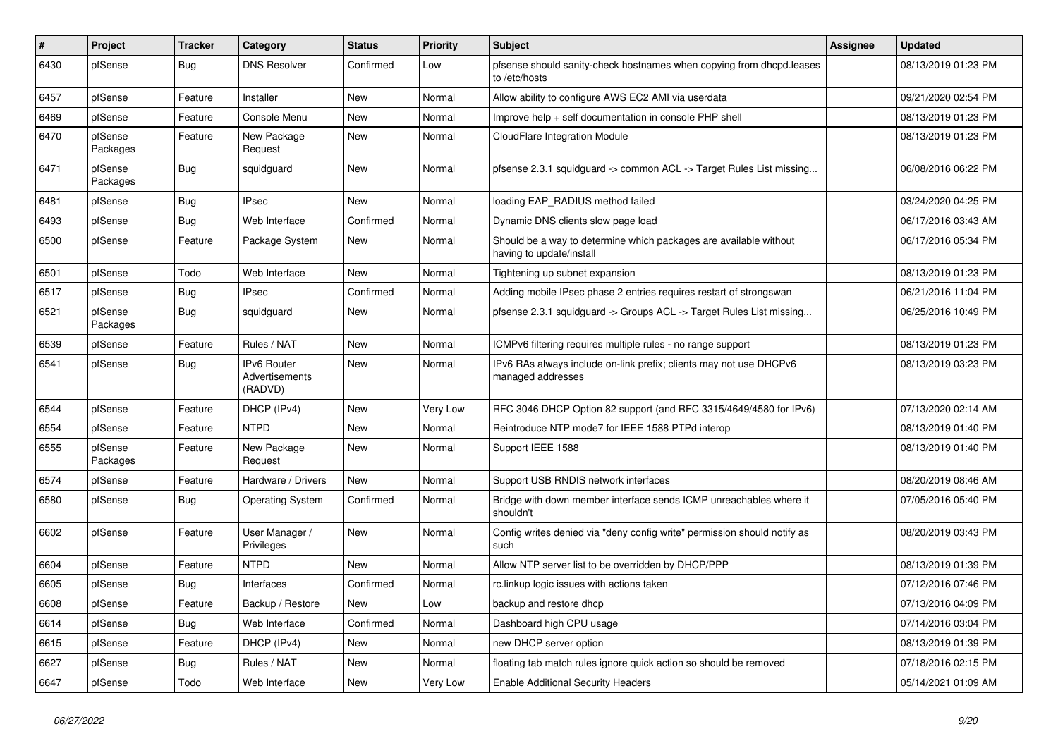| #    | Project             | <b>Tracker</b> | Category                                 | <b>Status</b> | <b>Priority</b> | Subject                                                                                       | Assignee | <b>Updated</b>      |
|------|---------------------|----------------|------------------------------------------|---------------|-----------------|-----------------------------------------------------------------------------------------------|----------|---------------------|
| 6430 | pfSense             | Bug            | <b>DNS Resolver</b>                      | Confirmed     | Low             | pfsense should sanity-check hostnames when copying from dhcpd.leases<br>to /etc/hosts         |          | 08/13/2019 01:23 PM |
| 6457 | pfSense             | Feature        | Installer                                | New           | Normal          | Allow ability to configure AWS EC2 AMI via userdata                                           |          | 09/21/2020 02:54 PM |
| 6469 | pfSense             | Feature        | Console Menu                             | New           | Normal          | Improve help + self documentation in console PHP shell                                        |          | 08/13/2019 01:23 PM |
| 6470 | pfSense<br>Packages | Feature        | New Package<br>Request                   | <b>New</b>    | Normal          | CloudFlare Integration Module                                                                 |          | 08/13/2019 01:23 PM |
| 6471 | pfSense<br>Packages | Bug            | squidguard                               | New           | Normal          | pfsense 2.3.1 squidguard -> common ACL -> Target Rules List missing                           |          | 06/08/2016 06:22 PM |
| 6481 | pfSense             | Bug            | <b>IPsec</b>                             | New           | Normal          | loading EAP_RADIUS method failed                                                              |          | 03/24/2020 04:25 PM |
| 6493 | pfSense             | Bug            | Web Interface                            | Confirmed     | Normal          | Dynamic DNS clients slow page load                                                            |          | 06/17/2016 03:43 AM |
| 6500 | pfSense             | Feature        | Package System                           | New           | Normal          | Should be a way to determine which packages are available without<br>having to update/install |          | 06/17/2016 05:34 PM |
| 6501 | pfSense             | Todo           | Web Interface                            | <b>New</b>    | Normal          | Tightening up subnet expansion                                                                |          | 08/13/2019 01:23 PM |
| 6517 | pfSense             | Bug            | <b>IPsec</b>                             | Confirmed     | Normal          | Adding mobile IPsec phase 2 entries requires restart of strongswan                            |          | 06/21/2016 11:04 PM |
| 6521 | pfSense<br>Packages | Bug            | squidguard                               | New           | Normal          | pfsense 2.3.1 squidguard -> Groups ACL -> Target Rules List missing                           |          | 06/25/2016 10:49 PM |
| 6539 | pfSense             | Feature        | Rules / NAT                              | <b>New</b>    | Normal          | ICMPv6 filtering requires multiple rules - no range support                                   |          | 08/13/2019 01:23 PM |
| 6541 | pfSense             | Bug            | IPv6 Router<br>Advertisements<br>(RADVD) | New           | Normal          | IPv6 RAs always include on-link prefix; clients may not use DHCPv6<br>managed addresses       |          | 08/13/2019 03:23 PM |
| 6544 | pfSense             | Feature        | DHCP (IPv4)                              | <b>New</b>    | Very Low        | RFC 3046 DHCP Option 82 support (and RFC 3315/4649/4580 for IPv6)                             |          | 07/13/2020 02:14 AM |
| 6554 | pfSense             | Feature        | <b>NTPD</b>                              | New           | Normal          | Reintroduce NTP mode7 for IEEE 1588 PTPd interop                                              |          | 08/13/2019 01:40 PM |
| 6555 | pfSense<br>Packages | Feature        | New Package<br>Request                   | New           | Normal          | Support IEEE 1588                                                                             |          | 08/13/2019 01:40 PM |
| 6574 | pfSense             | Feature        | Hardware / Drivers                       | New           | Normal          | Support USB RNDIS network interfaces                                                          |          | 08/20/2019 08:46 AM |
| 6580 | pfSense             | Bug            | <b>Operating System</b>                  | Confirmed     | Normal          | Bridge with down member interface sends ICMP unreachables where it<br>shouldn't               |          | 07/05/2016 05:40 PM |
| 6602 | pfSense             | Feature        | User Manager /<br>Privileges             | <b>New</b>    | Normal          | Config writes denied via "deny config write" permission should notify as<br>such              |          | 08/20/2019 03:43 PM |
| 6604 | pfSense             | Feature        | <b>NTPD</b>                              | New           | Normal          | Allow NTP server list to be overridden by DHCP/PPP                                            |          | 08/13/2019 01:39 PM |
| 6605 | pfSense             | Bug            | Interfaces                               | Confirmed     | Normal          | rc.linkup logic issues with actions taken                                                     |          | 07/12/2016 07:46 PM |
| 6608 | pfSense             | Feature        | Backup / Restore                         | New           | Low             | backup and restore dhcp                                                                       |          | 07/13/2016 04:09 PM |
| 6614 | pfSense             | Bug            | Web Interface                            | Confirmed     | Normal          | Dashboard high CPU usage                                                                      |          | 07/14/2016 03:04 PM |
| 6615 | pfSense             | Feature        | DHCP (IPv4)                              | New           | Normal          | new DHCP server option                                                                        |          | 08/13/2019 01:39 PM |
| 6627 | pfSense             | <b>Bug</b>     | Rules / NAT                              | New           | Normal          | floating tab match rules ignore quick action so should be removed                             |          | 07/18/2016 02:15 PM |
| 6647 | pfSense             | Todo           | Web Interface                            | New           | Very Low        | <b>Enable Additional Security Headers</b>                                                     |          | 05/14/2021 01:09 AM |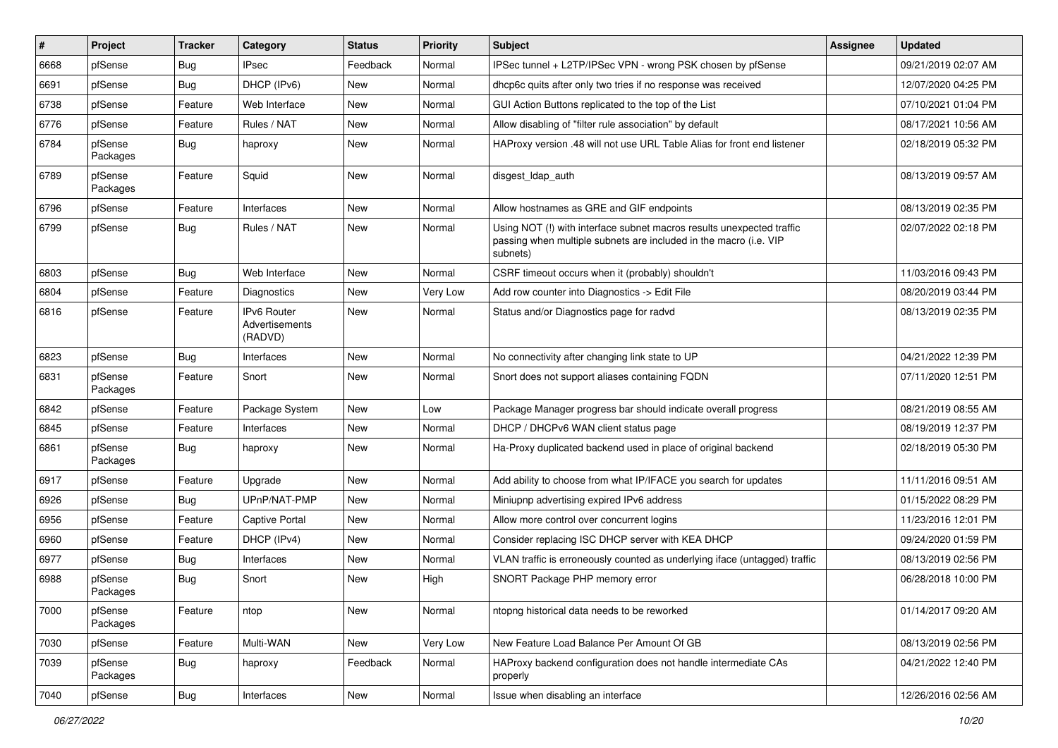| #    | Project             | <b>Tracker</b> | Category                                 | <b>Status</b> | <b>Priority</b> | <b>Subject</b>                                                                                                                                         | <b>Assignee</b> | <b>Updated</b>      |
|------|---------------------|----------------|------------------------------------------|---------------|-----------------|--------------------------------------------------------------------------------------------------------------------------------------------------------|-----------------|---------------------|
| 6668 | pfSense             | Bug            | IPsec                                    | Feedback      | Normal          | IPSec tunnel + L2TP/IPSec VPN - wrong PSK chosen by pfSense                                                                                            |                 | 09/21/2019 02:07 AM |
| 6691 | pfSense             | Bug            | DHCP (IPv6)                              | <b>New</b>    | Normal          | dhcp6c quits after only two tries if no response was received                                                                                          |                 | 12/07/2020 04:25 PM |
| 6738 | pfSense             | Feature        | Web Interface                            | New           | Normal          | GUI Action Buttons replicated to the top of the List                                                                                                   |                 | 07/10/2021 01:04 PM |
| 6776 | pfSense             | Feature        | Rules / NAT                              | New           | Normal          | Allow disabling of "filter rule association" by default                                                                                                |                 | 08/17/2021 10:56 AM |
| 6784 | pfSense<br>Packages | Bug            | haproxy                                  | New           | Normal          | HAProxy version .48 will not use URL Table Alias for front end listener                                                                                |                 | 02/18/2019 05:32 PM |
| 6789 | pfSense<br>Packages | Feature        | Squid                                    | New           | Normal          | disgest_ldap_auth                                                                                                                                      |                 | 08/13/2019 09:57 AM |
| 6796 | pfSense             | Feature        | Interfaces                               | New           | Normal          | Allow hostnames as GRE and GIF endpoints                                                                                                               |                 | 08/13/2019 02:35 PM |
| 6799 | pfSense             | Bug            | Rules / NAT                              | New           | Normal          | Using NOT (!) with interface subnet macros results unexpected traffic<br>passing when multiple subnets are included in the macro (i.e. VIP<br>subnets) |                 | 02/07/2022 02:18 PM |
| 6803 | pfSense             | Bug            | Web Interface                            | New           | Normal          | CSRF timeout occurs when it (probably) shouldn't                                                                                                       |                 | 11/03/2016 09:43 PM |
| 6804 | pfSense             | Feature        | Diagnostics                              | New           | Very Low        | Add row counter into Diagnostics -> Edit File                                                                                                          |                 | 08/20/2019 03:44 PM |
| 6816 | pfSense             | Feature        | IPv6 Router<br>Advertisements<br>(RADVD) | New           | Normal          | Status and/or Diagnostics page for radvd                                                                                                               |                 | 08/13/2019 02:35 PM |
| 6823 | pfSense             | Bug            | Interfaces                               | New           | Normal          | No connectivity after changing link state to UP                                                                                                        |                 | 04/21/2022 12:39 PM |
| 6831 | pfSense<br>Packages | Feature        | Snort                                    | <b>New</b>    | Normal          | Snort does not support aliases containing FQDN                                                                                                         |                 | 07/11/2020 12:51 PM |
| 6842 | pfSense             | Feature        | Package System                           | New           | Low             | Package Manager progress bar should indicate overall progress                                                                                          |                 | 08/21/2019 08:55 AM |
| 6845 | pfSense             | Feature        | Interfaces                               | New           | Normal          | DHCP / DHCPv6 WAN client status page                                                                                                                   |                 | 08/19/2019 12:37 PM |
| 6861 | pfSense<br>Packages | Bug            | haproxy                                  | New           | Normal          | Ha-Proxy duplicated backend used in place of original backend                                                                                          |                 | 02/18/2019 05:30 PM |
| 6917 | pfSense             | Feature        | Upgrade                                  | New           | Normal          | Add ability to choose from what IP/IFACE you search for updates                                                                                        |                 | 11/11/2016 09:51 AM |
| 6926 | pfSense             | Bug            | UPnP/NAT-PMP                             | New           | Normal          | Miniupnp advertising expired IPv6 address                                                                                                              |                 | 01/15/2022 08:29 PM |
| 6956 | pfSense             | Feature        | <b>Captive Portal</b>                    | New           | Normal          | Allow more control over concurrent logins                                                                                                              |                 | 11/23/2016 12:01 PM |
| 6960 | pfSense             | Feature        | DHCP (IPv4)                              | New           | Normal          | Consider replacing ISC DHCP server with KEA DHCP                                                                                                       |                 | 09/24/2020 01:59 PM |
| 6977 | pfSense             | Bug            | Interfaces                               | New           | Normal          | VLAN traffic is erroneously counted as underlying iface (untagged) traffic                                                                             |                 | 08/13/2019 02:56 PM |
| 6988 | pfSense<br>Packages | Bug            | Snort                                    | New           | High            | SNORT Package PHP memory error                                                                                                                         |                 | 06/28/2018 10:00 PM |
| 7000 | pfSense<br>Packages | Feature        | ntop                                     | New           | Normal          | ntopng historical data needs to be reworked                                                                                                            |                 | 01/14/2017 09:20 AM |
| 7030 | pfSense             | Feature        | Multi-WAN                                | New           | Very Low        | New Feature Load Balance Per Amount Of GB                                                                                                              |                 | 08/13/2019 02:56 PM |
| 7039 | pfSense<br>Packages | Bug            | haproxy                                  | Feedback      | Normal          | HAProxy backend configuration does not handle intermediate CAs<br>properly                                                                             |                 | 04/21/2022 12:40 PM |
| 7040 | pfSense             | <b>Bug</b>     | Interfaces                               | New           | Normal          | Issue when disabling an interface                                                                                                                      |                 | 12/26/2016 02:56 AM |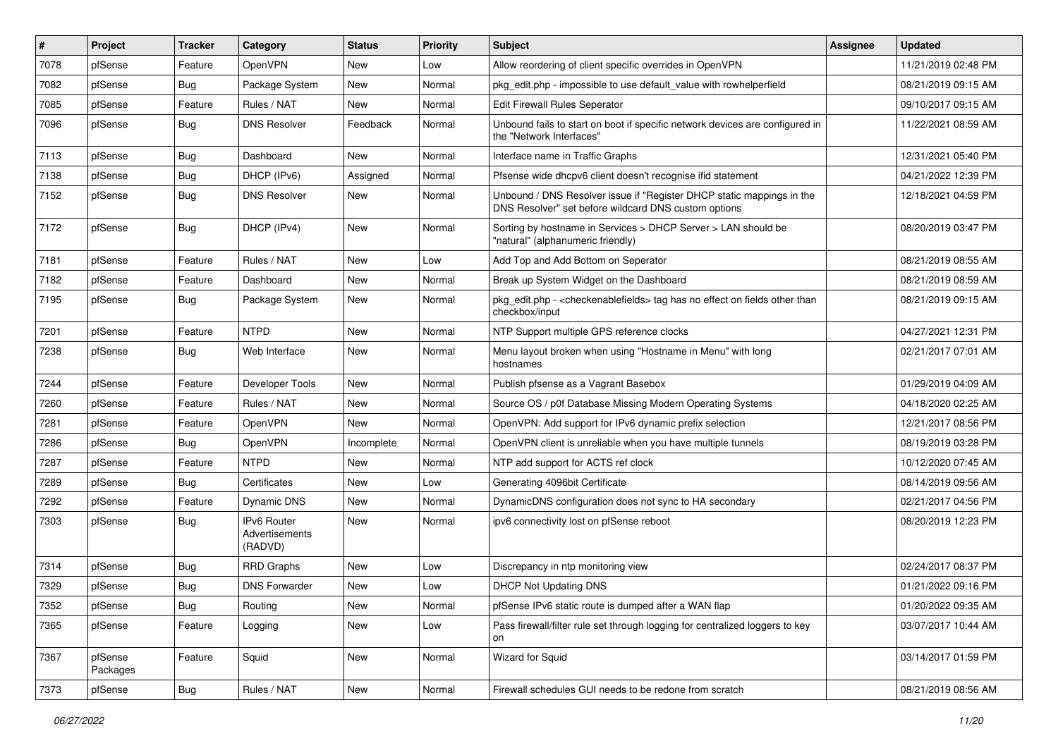| #    | Project             | <b>Tracker</b> | Category                                 | <b>Status</b> | <b>Priority</b> | <b>Subject</b>                                                                                                                | <b>Assignee</b> | <b>Updated</b>      |
|------|---------------------|----------------|------------------------------------------|---------------|-----------------|-------------------------------------------------------------------------------------------------------------------------------|-----------------|---------------------|
| 7078 | pfSense             | Feature        | OpenVPN                                  | New           | Low             | Allow reordering of client specific overrides in OpenVPN                                                                      |                 | 11/21/2019 02:48 PM |
| 7082 | pfSense             | Bug            | Package System                           | <b>New</b>    | Normal          | pkg edit.php - impossible to use default value with rowhelperfield                                                            |                 | 08/21/2019 09:15 AM |
| 7085 | pfSense             | Feature        | Rules / NAT                              | New           | Normal          | Edit Firewall Rules Seperator                                                                                                 |                 | 09/10/2017 09:15 AM |
| 7096 | pfSense             | Bug            | <b>DNS Resolver</b>                      | Feedback      | Normal          | Unbound fails to start on boot if specific network devices are configured in<br>the "Network Interfaces"                      |                 | 11/22/2021 08:59 AM |
| 7113 | pfSense             | Bug            | Dashboard                                | New           | Normal          | Interface name in Traffic Graphs                                                                                              |                 | 12/31/2021 05:40 PM |
| 7138 | pfSense             | Bug            | DHCP (IPv6)                              | Assigned      | Normal          | Pfsense wide dhcpv6 client doesn't recognise if id statement                                                                  |                 | 04/21/2022 12:39 PM |
| 7152 | pfSense             | <b>Bug</b>     | <b>DNS Resolver</b>                      | New           | Normal          | Unbound / DNS Resolver issue if "Register DHCP static mappings in the<br>DNS Resolver" set before wildcard DNS custom options |                 | 12/18/2021 04:59 PM |
| 7172 | pfSense             | Bug            | DHCP (IPv4)                              | New           | Normal          | Sorting by hostname in Services > DHCP Server > LAN should be<br>"natural" (alphanumeric friendly)                            |                 | 08/20/2019 03:47 PM |
| 7181 | pfSense             | Feature        | Rules / NAT                              | New           | Low             | Add Top and Add Bottom on Seperator                                                                                           |                 | 08/21/2019 08:55 AM |
| 7182 | pfSense             | Feature        | Dashboard                                | New           | Normal          | Break up System Widget on the Dashboard                                                                                       |                 | 08/21/2019 08:59 AM |
| 7195 | pfSense             | Bug            | Package System                           | New           | Normal          | pkg_edit.php - <checkenablefields> tag has no effect on fields other than<br/>checkbox/input</checkenablefields>              |                 | 08/21/2019 09:15 AM |
| 7201 | pfSense             | Feature        | <b>NTPD</b>                              | New           | Normal          | NTP Support multiple GPS reference clocks                                                                                     |                 | 04/27/2021 12:31 PM |
| 7238 | pfSense             | Bug            | Web Interface                            | New           | Normal          | Menu layout broken when using "Hostname in Menu" with long<br>hostnames                                                       |                 | 02/21/2017 07:01 AM |
| 7244 | pfSense             | Feature        | Developer Tools                          | New           | Normal          | Publish pfsense as a Vagrant Basebox                                                                                          |                 | 01/29/2019 04:09 AM |
| 7260 | pfSense             | Feature        | Rules / NAT                              | New           | Normal          | Source OS / p0f Database Missing Modern Operating Systems                                                                     |                 | 04/18/2020 02:25 AM |
| 7281 | pfSense             | Feature        | OpenVPN                                  | New           | Normal          | OpenVPN: Add support for IPv6 dynamic prefix selection                                                                        |                 | 12/21/2017 08:56 PM |
| 7286 | pfSense             | Bug            | OpenVPN                                  | Incomplete    | Normal          | OpenVPN client is unreliable when you have multiple tunnels                                                                   |                 | 08/19/2019 03:28 PM |
| 7287 | pfSense             | Feature        | <b>NTPD</b>                              | New           | Normal          | NTP add support for ACTS ref clock                                                                                            |                 | 10/12/2020 07:45 AM |
| 7289 | pfSense             | Bug            | Certificates                             | <b>New</b>    | Low             | Generating 4096bit Certificate                                                                                                |                 | 08/14/2019 09:56 AM |
| 7292 | pfSense             | Feature        | Dynamic DNS                              | New           | Normal          | DynamicDNS configuration does not sync to HA secondary                                                                        |                 | 02/21/2017 04:56 PM |
| 7303 | pfSense             | <b>Bug</b>     | IPv6 Router<br>Advertisements<br>(RADVD) | New           | Normal          | ipv6 connectivity lost on pfSense reboot                                                                                      |                 | 08/20/2019 12:23 PM |
| 7314 | pfSense             | Bug            | <b>RRD Graphs</b>                        | New           | Low             | Discrepancy in ntp monitoring view                                                                                            |                 | 02/24/2017 08:37 PM |
| 7329 | pfSense             | Bug            | <b>DNS Forwarder</b>                     | New           | Low             | DHCP Not Updating DNS                                                                                                         |                 | 01/21/2022 09:16 PM |
| 7352 | pfSense             | <b>Bug</b>     | Routing                                  | New           | Normal          | pfSense IPv6 static route is dumped after a WAN flap                                                                          |                 | 01/20/2022 09:35 AM |
| 7365 | pfSense             | Feature        | Logging                                  | New           | Low             | Pass firewall/filter rule set through logging for centralized loggers to key<br>on                                            |                 | 03/07/2017 10:44 AM |
| 7367 | pfSense<br>Packages | Feature        | Squid                                    | New           | Normal          | Wizard for Squid                                                                                                              |                 | 03/14/2017 01:59 PM |
| 7373 | pfSense             | Bug            | Rules / NAT                              | New           | Normal          | Firewall schedules GUI needs to be redone from scratch                                                                        |                 | 08/21/2019 08:56 AM |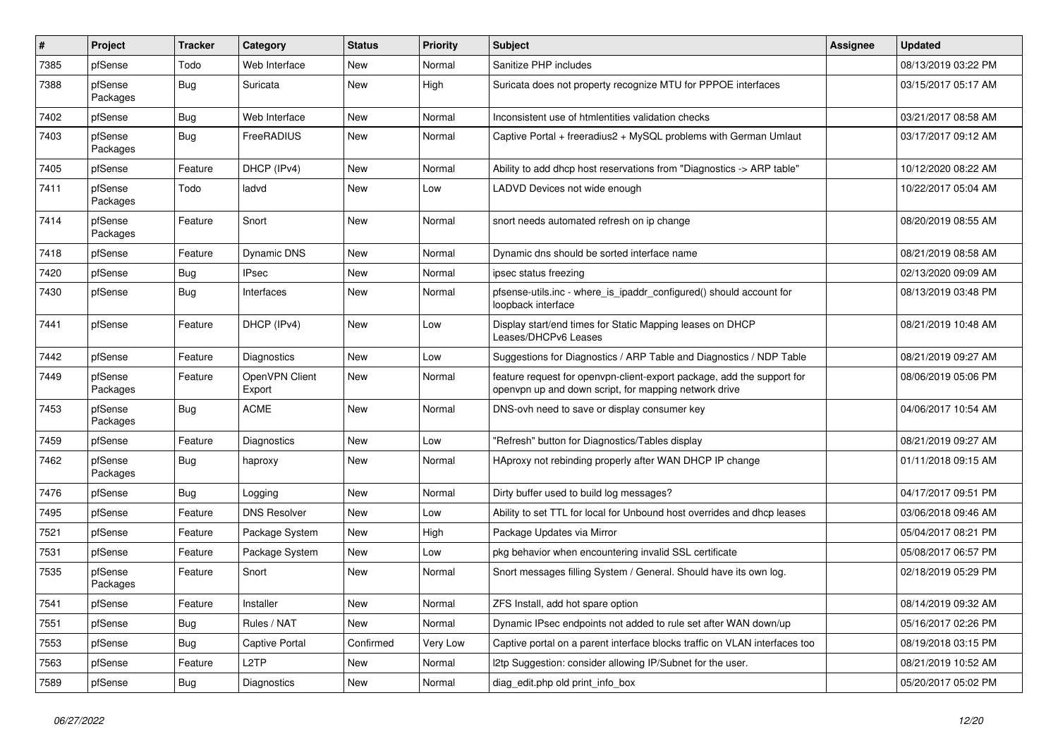| #    | Project             | <b>Tracker</b> | Category                 | <b>Status</b> | <b>Priority</b> | <b>Subject</b>                                                                                                                  | <b>Assignee</b> | <b>Updated</b>      |
|------|---------------------|----------------|--------------------------|---------------|-----------------|---------------------------------------------------------------------------------------------------------------------------------|-----------------|---------------------|
| 7385 | pfSense             | Todo           | Web Interface            | New           | Normal          | Sanitize PHP includes                                                                                                           |                 | 08/13/2019 03:22 PM |
| 7388 | pfSense<br>Packages | Bug            | Suricata                 | <b>New</b>    | High            | Suricata does not property recognize MTU for PPPOE interfaces                                                                   |                 | 03/15/2017 05:17 AM |
| 7402 | pfSense             | Bug            | Web Interface            | <b>New</b>    | Normal          | Inconsistent use of htmlentities validation checks                                                                              |                 | 03/21/2017 08:58 AM |
| 7403 | pfSense<br>Packages | <b>Bug</b>     | FreeRADIUS               | New           | Normal          | Captive Portal + freeradius2 + MySQL problems with German Umlaut                                                                |                 | 03/17/2017 09:12 AM |
| 7405 | pfSense             | Feature        | DHCP (IPv4)              | New           | Normal          | Ability to add dhcp host reservations from "Diagnostics -> ARP table"                                                           |                 | 10/12/2020 08:22 AM |
| 7411 | pfSense<br>Packages | Todo           | ladvd                    | <b>New</b>    | Low             | LADVD Devices not wide enough                                                                                                   |                 | 10/22/2017 05:04 AM |
| 7414 | pfSense<br>Packages | Feature        | Snort                    | New           | Normal          | snort needs automated refresh on ip change                                                                                      |                 | 08/20/2019 08:55 AM |
| 7418 | pfSense             | Feature        | Dynamic DNS              | New           | Normal          | Dynamic dns should be sorted interface name                                                                                     |                 | 08/21/2019 08:58 AM |
| 7420 | pfSense             | Bug            | <b>IPsec</b>             | New           | Normal          | ipsec status freezing                                                                                                           |                 | 02/13/2020 09:09 AM |
| 7430 | pfSense             | Bug            | Interfaces               | New           | Normal          | pfsense-utils.inc - where_is_ipaddr_configured() should account for<br>loopback interface                                       |                 | 08/13/2019 03:48 PM |
| 7441 | pfSense             | Feature        | DHCP (IPv4)              | <b>New</b>    | Low             | Display start/end times for Static Mapping leases on DHCP<br>Leases/DHCPv6 Leases                                               |                 | 08/21/2019 10:48 AM |
| 7442 | pfSense             | Feature        | <b>Diagnostics</b>       | <b>New</b>    | Low             | Suggestions for Diagnostics / ARP Table and Diagnostics / NDP Table                                                             |                 | 08/21/2019 09:27 AM |
| 7449 | pfSense<br>Packages | Feature        | OpenVPN Client<br>Export | New           | Normal          | feature request for openvpn-client-export package, add the support for<br>openvpn up and down script, for mapping network drive |                 | 08/06/2019 05:06 PM |
| 7453 | pfSense<br>Packages | Bug            | <b>ACME</b>              | <b>New</b>    | Normal          | DNS-ovh need to save or display consumer key                                                                                    |                 | 04/06/2017 10:54 AM |
| 7459 | pfSense             | Feature        | Diagnostics              | New           | Low             | "Refresh" button for Diagnostics/Tables display                                                                                 |                 | 08/21/2019 09:27 AM |
| 7462 | pfSense<br>Packages | Bug            | haproxy                  | <b>New</b>    | Normal          | HAproxy not rebinding properly after WAN DHCP IP change                                                                         |                 | 01/11/2018 09:15 AM |
| 7476 | pfSense             | Bug            | Logging                  | New           | Normal          | Dirty buffer used to build log messages?                                                                                        |                 | 04/17/2017 09:51 PM |
| 7495 | pfSense             | Feature        | <b>DNS Resolver</b>      | <b>New</b>    | Low             | Ability to set TTL for local for Unbound host overrides and dhcp leases                                                         |                 | 03/06/2018 09:46 AM |
| 7521 | pfSense             | Feature        | Package System           | New           | High            | Package Updates via Mirror                                                                                                      |                 | 05/04/2017 08:21 PM |
| 7531 | pfSense             | Feature        | Package System           | New           | Low             | pkg behavior when encountering invalid SSL certificate                                                                          |                 | 05/08/2017 06:57 PM |
| 7535 | pfSense<br>Packages | Feature        | Snort                    | New           | Normal          | Snort messages filling System / General. Should have its own log.                                                               |                 | 02/18/2019 05:29 PM |
| 7541 | pfSense             | Feature        | Installer                | New           | Normal          | ZFS Install, add hot spare option                                                                                               |                 | 08/14/2019 09:32 AM |
| 7551 | pfSense             | <b>Bug</b>     | Rules / NAT              | New           | Normal          | Dynamic IPsec endpoints not added to rule set after WAN down/up                                                                 |                 | 05/16/2017 02:26 PM |
| 7553 | pfSense             | <b>Bug</b>     | Captive Portal           | Confirmed     | Very Low        | Captive portal on a parent interface blocks traffic on VLAN interfaces too                                                      |                 | 08/19/2018 03:15 PM |
| 7563 | pfSense             | Feature        | L <sub>2</sub> TP        | New           | Normal          | I2tp Suggestion: consider allowing IP/Subnet for the user.                                                                      |                 | 08/21/2019 10:52 AM |
| 7589 | pfSense             | <b>Bug</b>     | Diagnostics              | New           | Normal          | diag_edit.php old print_info_box                                                                                                |                 | 05/20/2017 05:02 PM |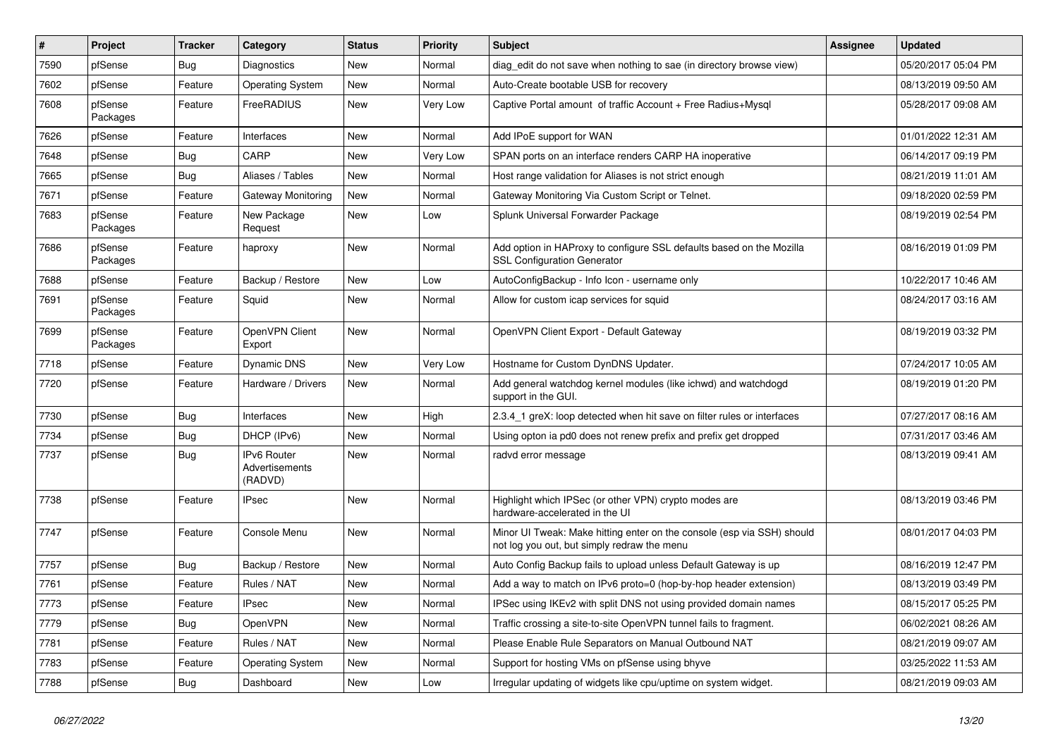| $\vert$ # | Project             | <b>Tracker</b> | Category                                 | <b>Status</b> | Priority | Subject                                                                                                               | <b>Assignee</b> | <b>Updated</b>      |
|-----------|---------------------|----------------|------------------------------------------|---------------|----------|-----------------------------------------------------------------------------------------------------------------------|-----------------|---------------------|
| 7590      | pfSense             | Bug            | Diagnostics                              | New           | Normal   | diag edit do not save when nothing to sae (in directory browse view)                                                  |                 | 05/20/2017 05:04 PM |
| 7602      | pfSense             | Feature        | <b>Operating System</b>                  | <b>New</b>    | Normal   | Auto-Create bootable USB for recovery                                                                                 |                 | 08/13/2019 09:50 AM |
| 7608      | pfSense<br>Packages | Feature        | FreeRADIUS                               | New           | Very Low | Captive Portal amount of traffic Account + Free Radius+Mysql                                                          |                 | 05/28/2017 09:08 AM |
| 7626      | pfSense             | Feature        | Interfaces                               | <b>New</b>    | Normal   | Add IPoE support for WAN                                                                                              |                 | 01/01/2022 12:31 AM |
| 7648      | pfSense             | Bug            | CARP                                     | New           | Very Low | SPAN ports on an interface renders CARP HA inoperative                                                                |                 | 06/14/2017 09:19 PM |
| 7665      | pfSense             | Bug            | Aliases / Tables                         | <b>New</b>    | Normal   | Host range validation for Aliases is not strict enough                                                                |                 | 08/21/2019 11:01 AM |
| 7671      | pfSense             | Feature        | Gateway Monitoring                       | <b>New</b>    | Normal   | Gateway Monitoring Via Custom Script or Telnet.                                                                       |                 | 09/18/2020 02:59 PM |
| 7683      | pfSense<br>Packages | Feature        | New Package<br>Request                   | New           | Low      | Splunk Universal Forwarder Package                                                                                    |                 | 08/19/2019 02:54 PM |
| 7686      | pfSense<br>Packages | Feature        | haproxy                                  | New           | Normal   | Add option in HAProxy to configure SSL defaults based on the Mozilla<br><b>SSL Configuration Generator</b>            |                 | 08/16/2019 01:09 PM |
| 7688      | pfSense             | Feature        | Backup / Restore                         | <b>New</b>    | Low      | AutoConfigBackup - Info Icon - username only                                                                          |                 | 10/22/2017 10:46 AM |
| 7691      | pfSense<br>Packages | Feature        | Squid                                    | New           | Normal   | Allow for custom icap services for squid                                                                              |                 | 08/24/2017 03:16 AM |
| 7699      | pfSense<br>Packages | Feature        | OpenVPN Client<br>Export                 | <b>New</b>    | Normal   | OpenVPN Client Export - Default Gateway                                                                               |                 | 08/19/2019 03:32 PM |
| 7718      | pfSense             | Feature        | Dynamic DNS                              | <b>New</b>    | Very Low | Hostname for Custom DynDNS Updater.                                                                                   |                 | 07/24/2017 10:05 AM |
| 7720      | pfSense             | Feature        | Hardware / Drivers                       | <b>New</b>    | Normal   | Add general watchdog kernel modules (like ichwd) and watchdogd<br>support in the GUI.                                 |                 | 08/19/2019 01:20 PM |
| 7730      | pfSense             | Bug            | Interfaces                               | <b>New</b>    | High     | 2.3.4_1 greX: loop detected when hit save on filter rules or interfaces                                               |                 | 07/27/2017 08:16 AM |
| 7734      | pfSense             | Bug            | DHCP (IPv6)                              | New           | Normal   | Using opton ia pd0 does not renew prefix and prefix get dropped                                                       |                 | 07/31/2017 03:46 AM |
| 7737      | pfSense             | Bug            | IPv6 Router<br>Advertisements<br>(RADVD) | <b>New</b>    | Normal   | radvd error message                                                                                                   |                 | 08/13/2019 09:41 AM |
| 7738      | pfSense             | Feature        | IPsec                                    | <b>New</b>    | Normal   | Highlight which IPSec (or other VPN) crypto modes are<br>hardware-accelerated in the UI                               |                 | 08/13/2019 03:46 PM |
| 7747      | pfSense             | Feature        | Console Menu                             | New           | Normal   | Minor UI Tweak: Make hitting enter on the console (esp via SSH) should<br>not log you out, but simply redraw the menu |                 | 08/01/2017 04:03 PM |
| 7757      | pfSense             | Bug            | Backup / Restore                         | <b>New</b>    | Normal   | Auto Config Backup fails to upload unless Default Gateway is up                                                       |                 | 08/16/2019 12:47 PM |
| 7761      | pfSense             | Feature        | Rules / NAT                              | New           | Normal   | Add a way to match on IPv6 proto=0 (hop-by-hop header extension)                                                      |                 | 08/13/2019 03:49 PM |
| 7773      | pfSense             | Feature        | <b>IPsec</b>                             | New           | Normal   | IPSec using IKEv2 with split DNS not using provided domain names                                                      |                 | 08/15/2017 05:25 PM |
| 7779      | pfSense             | Bug            | OpenVPN                                  | New           | Normal   | Traffic crossing a site-to-site OpenVPN tunnel fails to fragment.                                                     |                 | 06/02/2021 08:26 AM |
| 7781      | pfSense             | Feature        | Rules / NAT                              | New           | Normal   | Please Enable Rule Separators on Manual Outbound NAT                                                                  |                 | 08/21/2019 09:07 AM |
| 7783      | pfSense             | Feature        | <b>Operating System</b>                  | New           | Normal   | Support for hosting VMs on pfSense using bhyve                                                                        |                 | 03/25/2022 11:53 AM |
| 7788      | pfSense             | Bug            | Dashboard                                | New           | Low      | Irregular updating of widgets like cpu/uptime on system widget.                                                       |                 | 08/21/2019 09:03 AM |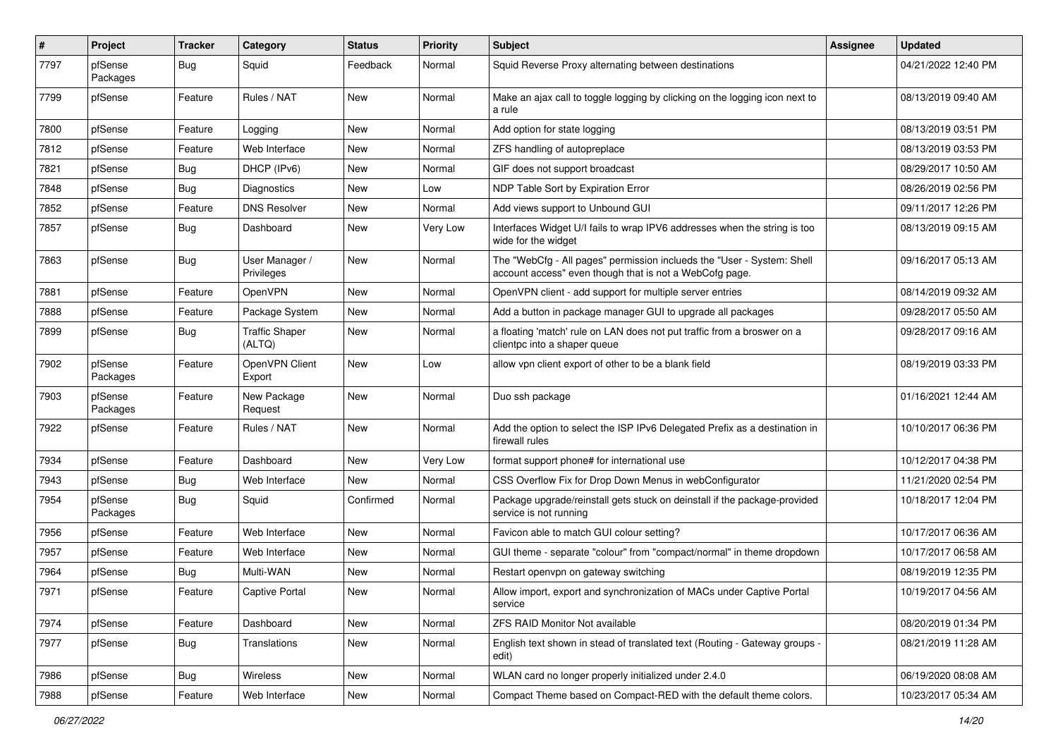| $\vert$ # | Project             | <b>Tracker</b> | Category                        | <b>Status</b> | <b>Priority</b> | <b>Subject</b>                                                                                                                    | <b>Assignee</b> | <b>Updated</b>      |
|-----------|---------------------|----------------|---------------------------------|---------------|-----------------|-----------------------------------------------------------------------------------------------------------------------------------|-----------------|---------------------|
| 7797      | pfSense<br>Packages | Bug            | Squid                           | Feedback      | Normal          | Squid Reverse Proxy alternating between destinations                                                                              |                 | 04/21/2022 12:40 PM |
| 7799      | pfSense             | Feature        | Rules / NAT                     | <b>New</b>    | Normal          | Make an ajax call to toggle logging by clicking on the logging icon next to<br>a rule                                             |                 | 08/13/2019 09:40 AM |
| 7800      | pfSense             | Feature        | Logging                         | <b>New</b>    | Normal          | Add option for state logging                                                                                                      |                 | 08/13/2019 03:51 PM |
| 7812      | pfSense             | Feature        | Web Interface                   | <b>New</b>    | Normal          | ZFS handling of autopreplace                                                                                                      |                 | 08/13/2019 03:53 PM |
| 7821      | pfSense             | Bug            | DHCP (IPv6)                     | <b>New</b>    | Normal          | GIF does not support broadcast                                                                                                    |                 | 08/29/2017 10:50 AM |
| 7848      | pfSense             | Bug            | Diagnostics                     | New           | Low             | NDP Table Sort by Expiration Error                                                                                                |                 | 08/26/2019 02:56 PM |
| 7852      | pfSense             | Feature        | <b>DNS Resolver</b>             | New           | Normal          | Add views support to Unbound GUI                                                                                                  |                 | 09/11/2017 12:26 PM |
| 7857      | pfSense             | Bug            | Dashboard                       | <b>New</b>    | Very Low        | Interfaces Widget U/I fails to wrap IPV6 addresses when the string is too<br>wide for the widget                                  |                 | 08/13/2019 09:15 AM |
| 7863      | pfSense             | Bug            | User Manager /<br>Privileges    | New           | Normal          | The "WebCfg - All pages" permission inclueds the "User - System: Shell<br>account access" even though that is not a WebCofg page. |                 | 09/16/2017 05:13 AM |
| 7881      | pfSense             | Feature        | OpenVPN                         | New           | Normal          | OpenVPN client - add support for multiple server entries                                                                          |                 | 08/14/2019 09:32 AM |
| 7888      | pfSense             | Feature        | Package System                  | <b>New</b>    | Normal          | Add a button in package manager GUI to upgrade all packages                                                                       |                 | 09/28/2017 05:50 AM |
| 7899      | pfSense             | Bug            | <b>Traffic Shaper</b><br>(ALTQ) | New           | Normal          | a floating 'match' rule on LAN does not put traffic from a broswer on a<br>clientpc into a shaper queue                           |                 | 09/28/2017 09:16 AM |
| 7902      | pfSense<br>Packages | Feature        | OpenVPN Client<br>Export        | <b>New</b>    | Low             | allow vpn client export of other to be a blank field                                                                              |                 | 08/19/2019 03:33 PM |
| 7903      | pfSense<br>Packages | Feature        | New Package<br>Request          | <b>New</b>    | Normal          | Duo ssh package                                                                                                                   |                 | 01/16/2021 12:44 AM |
| 7922      | pfSense             | Feature        | Rules / NAT                     | New           | Normal          | Add the option to select the ISP IPv6 Delegated Prefix as a destination in<br>firewall rules                                      |                 | 10/10/2017 06:36 PM |
| 7934      | pfSense             | Feature        | Dashboard                       | <b>New</b>    | Very Low        | format support phone# for international use                                                                                       |                 | 10/12/2017 04:38 PM |
| 7943      | pfSense             | Bug            | Web Interface                   | New           | Normal          | CSS Overflow Fix for Drop Down Menus in webConfigurator                                                                           |                 | 11/21/2020 02:54 PM |
| 7954      | pfSense<br>Packages | Bug            | Squid                           | Confirmed     | Normal          | Package upgrade/reinstall gets stuck on deinstall if the package-provided<br>service is not running                               |                 | 10/18/2017 12:04 PM |
| 7956      | pfSense             | Feature        | Web Interface                   | <b>New</b>    | Normal          | Favicon able to match GUI colour setting?                                                                                         |                 | 10/17/2017 06:36 AM |
| 7957      | pfSense             | Feature        | Web Interface                   | <b>New</b>    | Normal          | GUI theme - separate "colour" from "compact/normal" in theme dropdown                                                             |                 | 10/17/2017 06:58 AM |
| 7964      | pfSense             | Bug            | Multi-WAN                       | New           | Normal          | Restart openvpn on gateway switching                                                                                              |                 | 08/19/2019 12:35 PM |
| 7971      | pfSense             | Feature        | Captive Portal                  | New           | Normal          | Allow import, export and synchronization of MACs under Captive Portal<br>service                                                  |                 | 10/19/2017 04:56 AM |
| 7974      | pfSense             | Feature        | Dashboard                       | New           | Normal          | <b>ZFS RAID Monitor Not available</b>                                                                                             |                 | 08/20/2019 01:34 PM |
| 7977      | pfSense             | Bug            | Translations                    | New           | Normal          | English text shown in stead of translated text (Routing - Gateway groups -<br>edit)                                               |                 | 08/21/2019 11:28 AM |
| 7986      | pfSense             | Bug            | Wireless                        | New           | Normal          | WLAN card no longer properly initialized under 2.4.0                                                                              |                 | 06/19/2020 08:08 AM |
| 7988      | pfSense             | Feature        | Web Interface                   | New           | Normal          | Compact Theme based on Compact-RED with the default theme colors.                                                                 |                 | 10/23/2017 05:34 AM |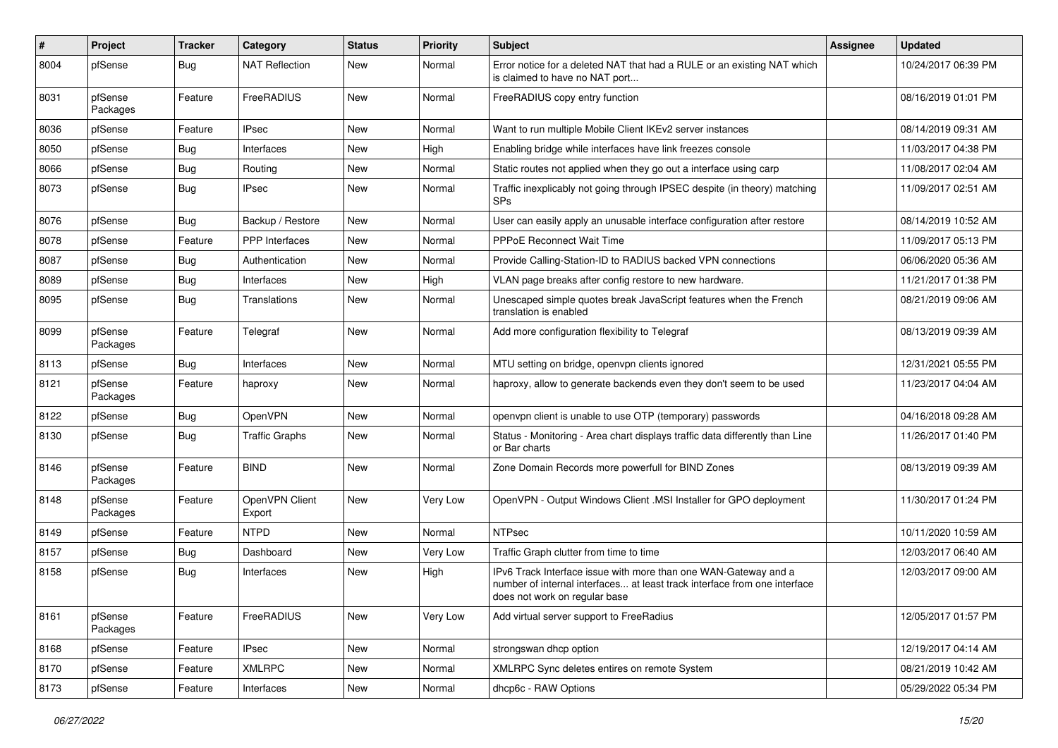| ∦    | Project             | <b>Tracker</b> | Category                 | <b>Status</b> | <b>Priority</b> | <b>Subject</b>                                                                                                                                                                | Assignee | <b>Updated</b>      |
|------|---------------------|----------------|--------------------------|---------------|-----------------|-------------------------------------------------------------------------------------------------------------------------------------------------------------------------------|----------|---------------------|
| 8004 | pfSense             | Bug            | <b>NAT Reflection</b>    | New           | Normal          | Error notice for a deleted NAT that had a RULE or an existing NAT which<br>is claimed to have no NAT port                                                                     |          | 10/24/2017 06:39 PM |
| 8031 | pfSense<br>Packages | Feature        | FreeRADIUS               | <b>New</b>    | Normal          | FreeRADIUS copy entry function                                                                                                                                                |          | 08/16/2019 01:01 PM |
| 8036 | pfSense             | Feature        | <b>IPsec</b>             | <b>New</b>    | Normal          | Want to run multiple Mobile Client IKEv2 server instances                                                                                                                     |          | 08/14/2019 09:31 AM |
| 8050 | pfSense             | Bug            | Interfaces               | New           | High            | Enabling bridge while interfaces have link freezes console                                                                                                                    |          | 11/03/2017 04:38 PM |
| 8066 | pfSense             | Bug            | Routing                  | <b>New</b>    | Normal          | Static routes not applied when they go out a interface using carp                                                                                                             |          | 11/08/2017 02:04 AM |
| 8073 | pfSense             | Bug            | <b>IPsec</b>             | New           | Normal          | Traffic inexplicably not going through IPSEC despite (in theory) matching<br><b>SPs</b>                                                                                       |          | 11/09/2017 02:51 AM |
| 8076 | pfSense             | Bug            | Backup / Restore         | <b>New</b>    | Normal          | User can easily apply an unusable interface configuration after restore                                                                                                       |          | 08/14/2019 10:52 AM |
| 8078 | pfSense             | Feature        | <b>PPP</b> Interfaces    | New           | Normal          | <b>PPPoE Reconnect Wait Time</b>                                                                                                                                              |          | 11/09/2017 05:13 PM |
| 8087 | pfSense             | Bug            | Authentication           | New           | Normal          | Provide Calling-Station-ID to RADIUS backed VPN connections                                                                                                                   |          | 06/06/2020 05:36 AM |
| 8089 | pfSense             | Bug            | Interfaces               | New           | High            | VLAN page breaks after config restore to new hardware.                                                                                                                        |          | 11/21/2017 01:38 PM |
| 8095 | pfSense             | Bug            | Translations             | New           | Normal          | Unescaped simple quotes break JavaScript features when the French<br>translation is enabled                                                                                   |          | 08/21/2019 09:06 AM |
| 8099 | pfSense<br>Packages | Feature        | Telegraf                 | New           | Normal          | Add more configuration flexibility to Telegraf                                                                                                                                |          | 08/13/2019 09:39 AM |
| 8113 | pfSense             | Bug            | Interfaces               | <b>New</b>    | Normal          | MTU setting on bridge, openvpn clients ignored                                                                                                                                |          | 12/31/2021 05:55 PM |
| 8121 | pfSense<br>Packages | Feature        | haproxy                  | New           | Normal          | haproxy, allow to generate backends even they don't seem to be used                                                                                                           |          | 11/23/2017 04:04 AM |
| 8122 | pfSense             | Bug            | OpenVPN                  | New           | Normal          | openvpn client is unable to use OTP (temporary) passwords                                                                                                                     |          | 04/16/2018 09:28 AM |
| 8130 | pfSense             | Bug            | <b>Traffic Graphs</b>    | New           | Normal          | Status - Monitoring - Area chart displays traffic data differently than Line<br>or Bar charts                                                                                 |          | 11/26/2017 01:40 PM |
| 8146 | pfSense<br>Packages | Feature        | <b>BIND</b>              | <b>New</b>    | Normal          | Zone Domain Records more powerfull for BIND Zones                                                                                                                             |          | 08/13/2019 09:39 AM |
| 8148 | pfSense<br>Packages | Feature        | OpenVPN Client<br>Export | <b>New</b>    | Very Low        | OpenVPN - Output Windows Client .MSI Installer for GPO deployment                                                                                                             |          | 11/30/2017 01:24 PM |
| 8149 | pfSense             | Feature        | NTPD                     | New           | Normal          | <b>NTPsec</b>                                                                                                                                                                 |          | 10/11/2020 10:59 AM |
| 8157 | pfSense             | Bug            | Dashboard                | <b>New</b>    | Very Low        | Traffic Graph clutter from time to time                                                                                                                                       |          | 12/03/2017 06:40 AM |
| 8158 | pfSense             | Bug            | Interfaces               | <b>New</b>    | High            | IPv6 Track Interface issue with more than one WAN-Gateway and a<br>number of internal interfaces at least track interface from one interface<br>does not work on regular base |          | 12/03/2017 09:00 AM |
| 8161 | pfSense<br>Packages | Feature        | FreeRADIUS               | New           | Very Low        | Add virtual server support to FreeRadius                                                                                                                                      |          | 12/05/2017 01:57 PM |
| 8168 | pfSense             | Feature        | IPsec                    | New           | Normal          | strongswan dhcp option                                                                                                                                                        |          | 12/19/2017 04:14 AM |
| 8170 | pfSense             | Feature        | <b>XMLRPC</b>            | New           | Normal          | XMLRPC Sync deletes entires on remote System                                                                                                                                  |          | 08/21/2019 10:42 AM |
| 8173 | pfSense             | Feature        | Interfaces               | New           | Normal          | dhcp6c - RAW Options                                                                                                                                                          |          | 05/29/2022 05:34 PM |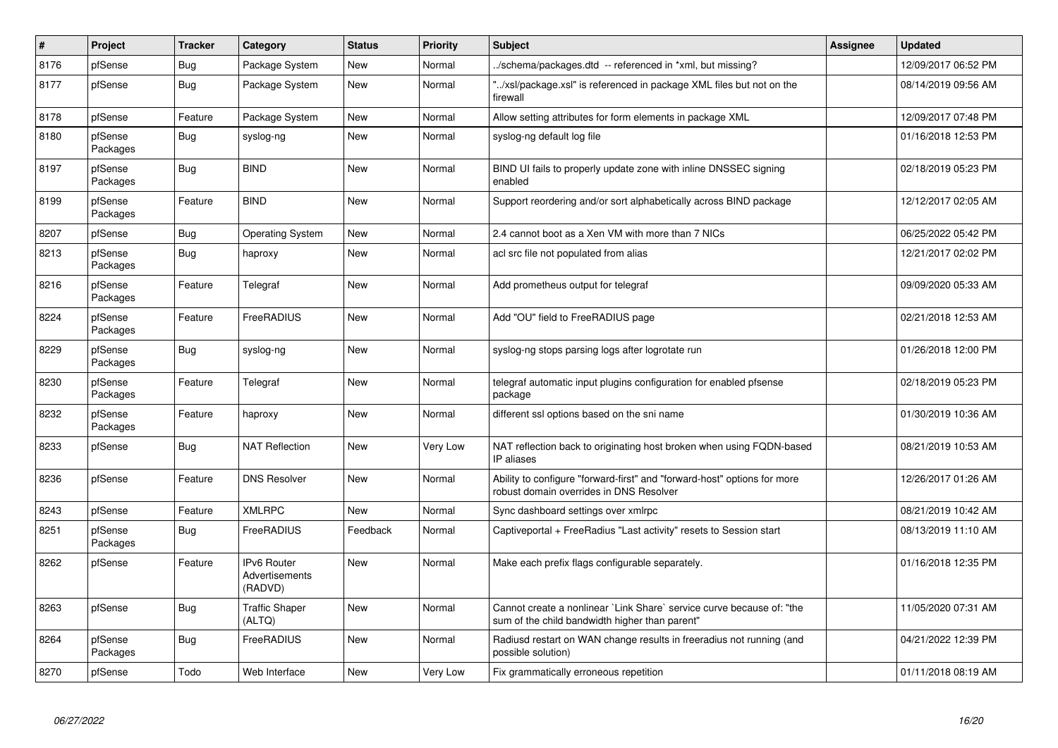| #    | <b>Project</b>      | <b>Tracker</b> | Category                                        | <b>Status</b> | <b>Priority</b> | <b>Subject</b>                                                                                                          | Assignee | <b>Updated</b>      |
|------|---------------------|----------------|-------------------------------------------------|---------------|-----------------|-------------------------------------------------------------------------------------------------------------------------|----------|---------------------|
| 8176 | pfSense             | Bug            | Package System                                  | <b>New</b>    | Normal          | /schema/packages.dtd -- referenced in *xml, but missing?                                                                |          | 12/09/2017 06:52 PM |
| 8177 | pfSense             | Bug            | Package System                                  | <b>New</b>    | Normal          | "/xsl/package.xsl" is referenced in package XML files but not on the<br>firewall                                        |          | 08/14/2019 09:56 AM |
| 8178 | pfSense             | Feature        | Package System                                  | New           | Normal          | Allow setting attributes for form elements in package XML                                                               |          | 12/09/2017 07:48 PM |
| 8180 | pfSense<br>Packages | Bug            | syslog-ng                                       | <b>New</b>    | Normal          | syslog-ng default log file                                                                                              |          | 01/16/2018 12:53 PM |
| 8197 | pfSense<br>Packages | Bug            | <b>BIND</b>                                     | <b>New</b>    | Normal          | BIND UI fails to properly update zone with inline DNSSEC signing<br>enabled                                             |          | 02/18/2019 05:23 PM |
| 8199 | pfSense<br>Packages | Feature        | <b>BIND</b>                                     | <b>New</b>    | Normal          | Support reordering and/or sort alphabetically across BIND package                                                       |          | 12/12/2017 02:05 AM |
| 8207 | pfSense             | Bug            | <b>Operating System</b>                         | <b>New</b>    | Normal          | 2.4 cannot boot as a Xen VM with more than 7 NICs                                                                       |          | 06/25/2022 05:42 PM |
| 8213 | pfSense<br>Packages | Bug            | haproxy                                         | New           | Normal          | acl src file not populated from alias                                                                                   |          | 12/21/2017 02:02 PM |
| 8216 | pfSense<br>Packages | Feature        | Telegraf                                        | <b>New</b>    | Normal          | Add prometheus output for telegraf                                                                                      |          | 09/09/2020 05:33 AM |
| 8224 | pfSense<br>Packages | Feature        | FreeRADIUS                                      | <b>New</b>    | Normal          | Add "OU" field to FreeRADIUS page                                                                                       |          | 02/21/2018 12:53 AM |
| 8229 | pfSense<br>Packages | <b>Bug</b>     | syslog-ng                                       | New           | Normal          | syslog-ng stops parsing logs after logrotate run                                                                        |          | 01/26/2018 12:00 PM |
| 8230 | pfSense<br>Packages | Feature        | Telegraf                                        | <b>New</b>    | Normal          | telegraf automatic input plugins configuration for enabled pfsense<br>package                                           |          | 02/18/2019 05:23 PM |
| 8232 | pfSense<br>Packages | Feature        | haproxy                                         | <b>New</b>    | Normal          | different ssl options based on the sni name                                                                             |          | 01/30/2019 10:36 AM |
| 8233 | pfSense             | Bug            | <b>NAT Reflection</b>                           | <b>New</b>    | Very Low        | NAT reflection back to originating host broken when using FQDN-based<br>IP aliases                                      |          | 08/21/2019 10:53 AM |
| 8236 | pfSense             | Feature        | <b>DNS Resolver</b>                             | <b>New</b>    | Normal          | Ability to configure "forward-first" and "forward-host" options for more<br>robust domain overrides in DNS Resolver     |          | 12/26/2017 01:26 AM |
| 8243 | pfSense             | Feature        | <b>XMLRPC</b>                                   | <b>New</b>    | Normal          | Sync dashboard settings over xmlrpc                                                                                     |          | 08/21/2019 10:42 AM |
| 8251 | pfSense<br>Packages | Bug            | FreeRADIUS                                      | Feedback      | Normal          | Captiveportal + FreeRadius "Last activity" resets to Session start                                                      |          | 08/13/2019 11:10 AM |
| 8262 | pfSense             | Feature        | <b>IPv6 Router</b><br>Advertisements<br>(RADVD) | <b>New</b>    | Normal          | Make each prefix flags configurable separately.                                                                         |          | 01/16/2018 12:35 PM |
| 8263 | pfSense             | Bug            | Traffic Shaper<br>(ALTQ)                        | New           | Normal          | Cannot create a nonlinear `Link Share` service curve because of: "the<br>sum of the child bandwidth higher than parent" |          | 11/05/2020 07:31 AM |
| 8264 | pfSense<br>Packages | Bug            | FreeRADIUS                                      | <b>New</b>    | Normal          | Radiusd restart on WAN change results in freeradius not running (and<br>possible solution)                              |          | 04/21/2022 12:39 PM |
| 8270 | pfSense             | Todo           | Web Interface                                   | New           | Very Low        | Fix grammatically erroneous repetition                                                                                  |          | 01/11/2018 08:19 AM |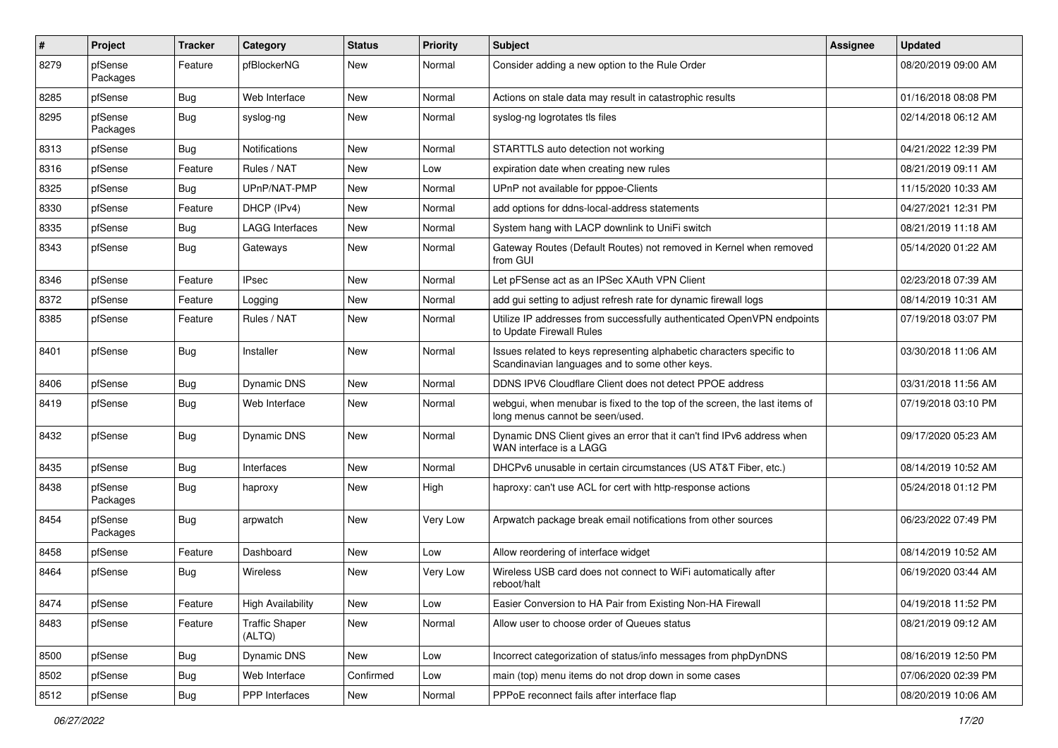| $\#$ | Project             | <b>Tracker</b> | Category                        | <b>Status</b> | <b>Priority</b> | <b>Subject</b>                                                                                                          | Assignee | <b>Updated</b>      |
|------|---------------------|----------------|---------------------------------|---------------|-----------------|-------------------------------------------------------------------------------------------------------------------------|----------|---------------------|
| 8279 | pfSense<br>Packages | Feature        | pfBlockerNG                     | New           | Normal          | Consider adding a new option to the Rule Order                                                                          |          | 08/20/2019 09:00 AM |
| 8285 | pfSense             | Bug            | Web Interface                   | New           | Normal          | Actions on stale data may result in catastrophic results                                                                |          | 01/16/2018 08:08 PM |
| 8295 | pfSense<br>Packages | Bug            | syslog-ng                       | New           | Normal          | syslog-ng logrotates tls files                                                                                          |          | 02/14/2018 06:12 AM |
| 8313 | pfSense             | Bug            | Notifications                   | New           | Normal          | STARTTLS auto detection not working                                                                                     |          | 04/21/2022 12:39 PM |
| 8316 | pfSense             | Feature        | Rules / NAT                     | New           | Low             | expiration date when creating new rules                                                                                 |          | 08/21/2019 09:11 AM |
| 8325 | pfSense             | Bug            | UPnP/NAT-PMP                    | New           | Normal          | UPnP not available for pppoe-Clients                                                                                    |          | 11/15/2020 10:33 AM |
| 8330 | pfSense             | Feature        | DHCP (IPv4)                     | New           | Normal          | add options for ddns-local-address statements                                                                           |          | 04/27/2021 12:31 PM |
| 8335 | pfSense             | Bug            | <b>LAGG Interfaces</b>          | New           | Normal          | System hang with LACP downlink to UniFi switch                                                                          |          | 08/21/2019 11:18 AM |
| 8343 | pfSense             | Bug            | Gateways                        | New           | Normal          | Gateway Routes (Default Routes) not removed in Kernel when removed<br>from GUI                                          |          | 05/14/2020 01:22 AM |
| 8346 | pfSense             | Feature        | <b>IPsec</b>                    | New           | Normal          | Let pFSense act as an IPSec XAuth VPN Client                                                                            |          | 02/23/2018 07:39 AM |
| 8372 | pfSense             | Feature        | Logging                         | New           | Normal          | add gui setting to adjust refresh rate for dynamic firewall logs                                                        |          | 08/14/2019 10:31 AM |
| 8385 | pfSense             | Feature        | Rules / NAT                     | New           | Normal          | Utilize IP addresses from successfully authenticated OpenVPN endpoints<br>to Update Firewall Rules                      |          | 07/19/2018 03:07 PM |
| 8401 | pfSense             | Bug            | Installer                       | New           | Normal          | Issues related to keys representing alphabetic characters specific to<br>Scandinavian languages and to some other keys. |          | 03/30/2018 11:06 AM |
| 8406 | pfSense             | Bug            | Dynamic DNS                     | New           | Normal          | DDNS IPV6 Cloudflare Client does not detect PPOE address                                                                |          | 03/31/2018 11:56 AM |
| 8419 | pfSense             | Bug            | Web Interface                   | New           | Normal          | webgui, when menubar is fixed to the top of the screen, the last items of<br>long menus cannot be seen/used.            |          | 07/19/2018 03:10 PM |
| 8432 | pfSense             | Bug            | <b>Dynamic DNS</b>              | New           | Normal          | Dynamic DNS Client gives an error that it can't find IPv6 address when<br>WAN interface is a LAGG                       |          | 09/17/2020 05:23 AM |
| 8435 | pfSense             | Bug            | Interfaces                      | New           | Normal          | DHCPv6 unusable in certain circumstances (US AT&T Fiber, etc.)                                                          |          | 08/14/2019 10:52 AM |
| 8438 | pfSense<br>Packages | Bug            | haproxy                         | New           | High            | haproxy: can't use ACL for cert with http-response actions                                                              |          | 05/24/2018 01:12 PM |
| 8454 | pfSense<br>Packages | <b>Bug</b>     | arpwatch                        | New           | Very Low        | Arpwatch package break email notifications from other sources                                                           |          | 06/23/2022 07:49 PM |
| 8458 | pfSense             | Feature        | Dashboard                       | New           | Low             | Allow reordering of interface widget                                                                                    |          | 08/14/2019 10:52 AM |
| 8464 | pfSense             | Bug            | Wireless                        | New           | Very Low        | Wireless USB card does not connect to WiFi automatically after<br>reboot/halt                                           |          | 06/19/2020 03:44 AM |
| 8474 | pfSense             | Feature        | <b>High Availability</b>        | New           | Low             | Easier Conversion to HA Pair from Existing Non-HA Firewall                                                              |          | 04/19/2018 11:52 PM |
| 8483 | pfSense             | Feature        | <b>Traffic Shaper</b><br>(ALTQ) | New           | Normal          | Allow user to choose order of Queues status                                                                             |          | 08/21/2019 09:12 AM |
| 8500 | pfSense             | Bug            | Dynamic DNS                     | New           | Low             | Incorrect categorization of status/info messages from phpDynDNS                                                         |          | 08/16/2019 12:50 PM |
| 8502 | pfSense             | <b>Bug</b>     | Web Interface                   | Confirmed     | Low             | main (top) menu items do not drop down in some cases                                                                    |          | 07/06/2020 02:39 PM |
| 8512 | pfSense             | Bug            | PPP Interfaces                  | New           | Normal          | PPPoE reconnect fails after interface flap                                                                              |          | 08/20/2019 10:06 AM |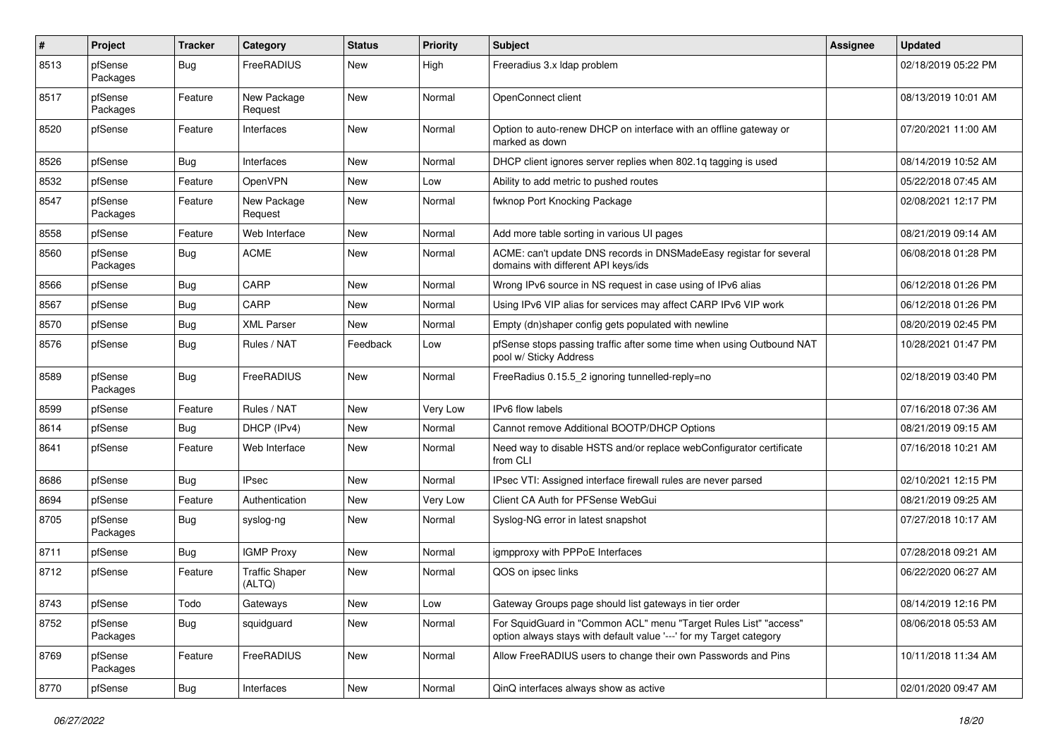| $\pmb{\#}$ | Project             | <b>Tracker</b> | Category                        | <b>Status</b> | <b>Priority</b> | <b>Subject</b>                                                                                                                          | <b>Assignee</b> | <b>Updated</b>      |
|------------|---------------------|----------------|---------------------------------|---------------|-----------------|-----------------------------------------------------------------------------------------------------------------------------------------|-----------------|---------------------|
| 8513       | pfSense<br>Packages | Bug            | FreeRADIUS                      | <b>New</b>    | High            | Freeradius 3.x Idap problem                                                                                                             |                 | 02/18/2019 05:22 PM |
| 8517       | pfSense<br>Packages | Feature        | New Package<br>Request          | <b>New</b>    | Normal          | OpenConnect client                                                                                                                      |                 | 08/13/2019 10:01 AM |
| 8520       | pfSense             | Feature        | Interfaces                      | <b>New</b>    | Normal          | Option to auto-renew DHCP on interface with an offline gateway or<br>marked as down                                                     |                 | 07/20/2021 11:00 AM |
| 8526       | pfSense             | Bug            | Interfaces                      | <b>New</b>    | Normal          | DHCP client ignores server replies when 802.1q tagging is used                                                                          |                 | 08/14/2019 10:52 AM |
| 8532       | pfSense             | Feature        | <b>OpenVPN</b>                  | New           | Low             | Ability to add metric to pushed routes                                                                                                  |                 | 05/22/2018 07:45 AM |
| 8547       | pfSense<br>Packages | Feature        | New Package<br>Request          | New           | Normal          | fwknop Port Knocking Package                                                                                                            |                 | 02/08/2021 12:17 PM |
| 8558       | pfSense             | Feature        | Web Interface                   | New           | Normal          | Add more table sorting in various UI pages                                                                                              |                 | 08/21/2019 09:14 AM |
| 8560       | pfSense<br>Packages | Bug            | <b>ACME</b>                     | New           | Normal          | ACME: can't update DNS records in DNSMadeEasy registar for several<br>domains with different API keys/ids                               |                 | 06/08/2018 01:28 PM |
| 8566       | pfSense             | Bug            | CARP                            | <b>New</b>    | Normal          | Wrong IPv6 source in NS request in case using of IPv6 alias                                                                             |                 | 06/12/2018 01:26 PM |
| 8567       | pfSense             | Bug            | CARP                            | <b>New</b>    | Normal          | Using IPv6 VIP alias for services may affect CARP IPv6 VIP work                                                                         |                 | 06/12/2018 01:26 PM |
| 8570       | pfSense             | Bug            | <b>XML Parser</b>               | New           | Normal          | Empty (dn)shaper config gets populated with newline                                                                                     |                 | 08/20/2019 02:45 PM |
| 8576       | pfSense             | Bug            | Rules / NAT                     | Feedback      | Low             | pfSense stops passing traffic after some time when using Outbound NAT<br>pool w/ Sticky Address                                         |                 | 10/28/2021 01:47 PM |
| 8589       | pfSense<br>Packages | Bug            | FreeRADIUS                      | New           | Normal          | FreeRadius 0.15.5 2 ignoring tunnelled-reply=no                                                                                         |                 | 02/18/2019 03:40 PM |
| 8599       | pfSense             | Feature        | Rules / NAT                     | <b>New</b>    | Very Low        | IPv6 flow labels                                                                                                                        |                 | 07/16/2018 07:36 AM |
| 8614       | pfSense             | Bug            | DHCP (IPv4)                     | New           | Normal          | Cannot remove Additional BOOTP/DHCP Options                                                                                             |                 | 08/21/2019 09:15 AM |
| 8641       | pfSense             | Feature        | Web Interface                   | New           | Normal          | Need way to disable HSTS and/or replace webConfigurator certificate<br>from CLI                                                         |                 | 07/16/2018 10:21 AM |
| 8686       | pfSense             | Bug            | <b>IPsec</b>                    | New           | Normal          | IPsec VTI: Assigned interface firewall rules are never parsed                                                                           |                 | 02/10/2021 12:15 PM |
| 8694       | pfSense             | Feature        | Authentication                  | <b>New</b>    | Very Low        | Client CA Auth for PFSense WebGui                                                                                                       |                 | 08/21/2019 09:25 AM |
| 8705       | pfSense<br>Packages | Bug            | syslog-ng                       | New           | Normal          | Syslog-NG error in latest snapshot                                                                                                      |                 | 07/27/2018 10:17 AM |
| 8711       | pfSense             | Bug            | <b>IGMP Proxy</b>               | <b>New</b>    | Normal          | igmpproxy with PPPoE Interfaces                                                                                                         |                 | 07/28/2018 09:21 AM |
| 8712       | pfSense             | Feature        | <b>Traffic Shaper</b><br>(ALTQ) | <b>New</b>    | Normal          | QOS on ipsec links                                                                                                                      |                 | 06/22/2020 06:27 AM |
| 8743       | pfSense             | Todo           | Gateways                        | New           | Low             | Gateway Groups page should list gateways in tier order                                                                                  |                 | 08/14/2019 12:16 PM |
| 8752       | pfSense<br>Packages | Bug            | squidguard                      | New           | Normal          | For SquidGuard in "Common ACL" menu "Target Rules List" "access"<br>option always stays with default value '---' for my Target category |                 | 08/06/2018 05:53 AM |
| 8769       | pfSense<br>Packages | Feature        | FreeRADIUS                      | New           | Normal          | Allow FreeRADIUS users to change their own Passwords and Pins                                                                           |                 | 10/11/2018 11:34 AM |
| 8770       | pfSense             | Bug            | Interfaces                      | New           | Normal          | QinQ interfaces always show as active                                                                                                   |                 | 02/01/2020 09:47 AM |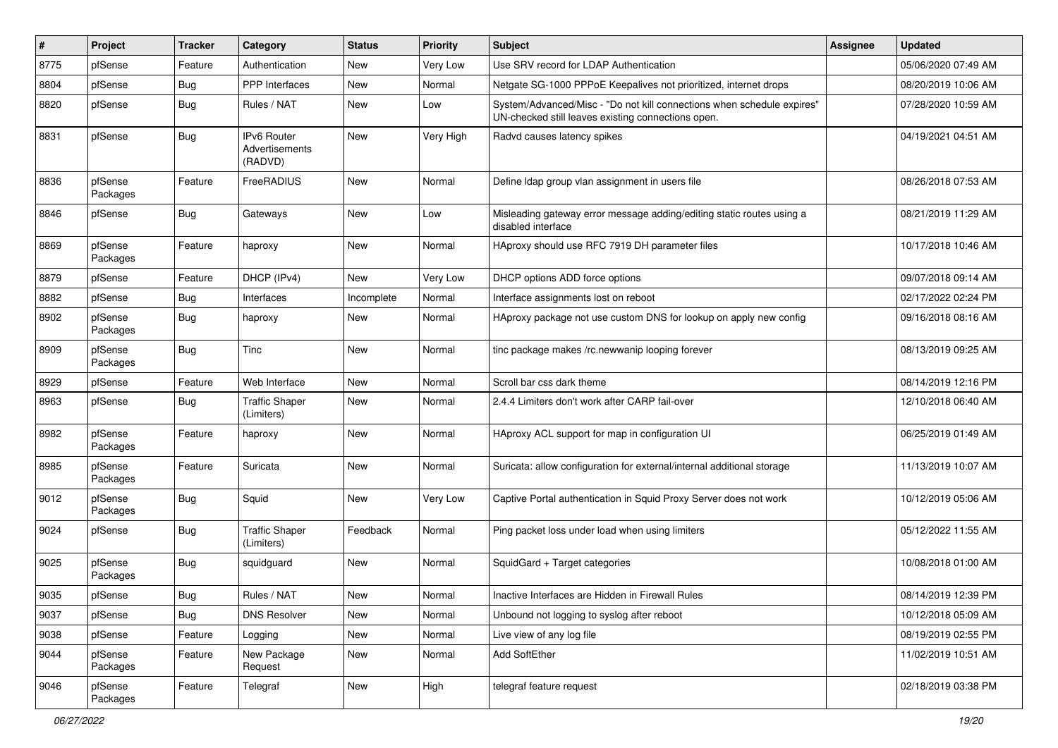| ∦    | Project             | <b>Tracker</b> | Category                                 | <b>Status</b> | <b>Priority</b> | <b>Subject</b>                                                                                                               | <b>Assignee</b> | <b>Updated</b>      |
|------|---------------------|----------------|------------------------------------------|---------------|-----------------|------------------------------------------------------------------------------------------------------------------------------|-----------------|---------------------|
| 8775 | pfSense             | Feature        | Authentication                           | New           | Very Low        | Use SRV record for LDAP Authentication                                                                                       |                 | 05/06/2020 07:49 AM |
| 8804 | pfSense             | Bug            | <b>PPP</b> Interfaces                    | New           | Normal          | Netgate SG-1000 PPPoE Keepalives not prioritized, internet drops                                                             |                 | 08/20/2019 10:06 AM |
| 8820 | pfSense             | Bug            | Rules / NAT                              | New           | Low             | System/Advanced/Misc - "Do not kill connections when schedule expires"<br>UN-checked still leaves existing connections open. |                 | 07/28/2020 10:59 AM |
| 8831 | pfSense             | Bug            | IPv6 Router<br>Advertisements<br>(RADVD) | New           | Very High       | Radvd causes latency spikes                                                                                                  |                 | 04/19/2021 04:51 AM |
| 8836 | pfSense<br>Packages | Feature        | FreeRADIUS                               | New           | Normal          | Define Idap group vlan assignment in users file                                                                              |                 | 08/26/2018 07:53 AM |
| 8846 | pfSense             | Bug            | Gateways                                 | New           | Low             | Misleading gateway error message adding/editing static routes using a<br>disabled interface                                  |                 | 08/21/2019 11:29 AM |
| 8869 | pfSense<br>Packages | Feature        | haproxy                                  | New           | Normal          | HAproxy should use RFC 7919 DH parameter files                                                                               |                 | 10/17/2018 10:46 AM |
| 8879 | pfSense             | Feature        | DHCP (IPv4)                              | New           | Very Low        | DHCP options ADD force options                                                                                               |                 | 09/07/2018 09:14 AM |
| 8882 | pfSense             | Bug            | Interfaces                               | Incomplete    | Normal          | Interface assignments lost on reboot                                                                                         |                 | 02/17/2022 02:24 PM |
| 8902 | pfSense<br>Packages | Bug            | haproxy                                  | New           | Normal          | HAproxy package not use custom DNS for lookup on apply new config                                                            |                 | 09/16/2018 08:16 AM |
| 8909 | pfSense<br>Packages | Bug            | Tinc                                     | New           | Normal          | tinc package makes /rc.newwanip looping forever                                                                              |                 | 08/13/2019 09:25 AM |
| 8929 | pfSense             | Feature        | Web Interface                            | <b>New</b>    | Normal          | Scroll bar css dark theme                                                                                                    |                 | 08/14/2019 12:16 PM |
| 8963 | pfSense             | <b>Bug</b>     | <b>Traffic Shaper</b><br>(Limiters)      | New           | Normal          | 2.4.4 Limiters don't work after CARP fail-over                                                                               |                 | 12/10/2018 06:40 AM |
| 8982 | pfSense<br>Packages | Feature        | haproxy                                  | New           | Normal          | HAproxy ACL support for map in configuration UI                                                                              |                 | 06/25/2019 01:49 AM |
| 8985 | pfSense<br>Packages | Feature        | Suricata                                 | New           | Normal          | Suricata: allow configuration for external/internal additional storage                                                       |                 | 11/13/2019 10:07 AM |
| 9012 | pfSense<br>Packages | Bug            | Squid                                    | New           | Very Low        | Captive Portal authentication in Squid Proxy Server does not work                                                            |                 | 10/12/2019 05:06 AM |
| 9024 | pfSense             | <b>Bug</b>     | <b>Traffic Shaper</b><br>(Limiters)      | Feedback      | Normal          | Ping packet loss under load when using limiters                                                                              |                 | 05/12/2022 11:55 AM |
| 9025 | pfSense<br>Packages | Bug            | squidguard                               | New           | Normal          | SquidGard + Target categories                                                                                                |                 | 10/08/2018 01:00 AM |
| 9035 | pfSense             | Bug            | Rules / NAT                              | New           | Normal          | Inactive Interfaces are Hidden in Firewall Rules                                                                             |                 | 08/14/2019 12:39 PM |
| 9037 | pfSense             | <b>Bug</b>     | <b>DNS Resolver</b>                      | New           | Normal          | Unbound not logging to syslog after reboot                                                                                   |                 | 10/12/2018 05:09 AM |
| 9038 | pfSense             | Feature        | Logging                                  | New           | Normal          | Live view of any log file                                                                                                    |                 | 08/19/2019 02:55 PM |
| 9044 | pfSense<br>Packages | Feature        | New Package<br>Request                   | New           | Normal          | Add SoftEther                                                                                                                |                 | 11/02/2019 10:51 AM |
| 9046 | pfSense<br>Packages | Feature        | Telegraf                                 | New           | High            | telegraf feature request                                                                                                     |                 | 02/18/2019 03:38 PM |